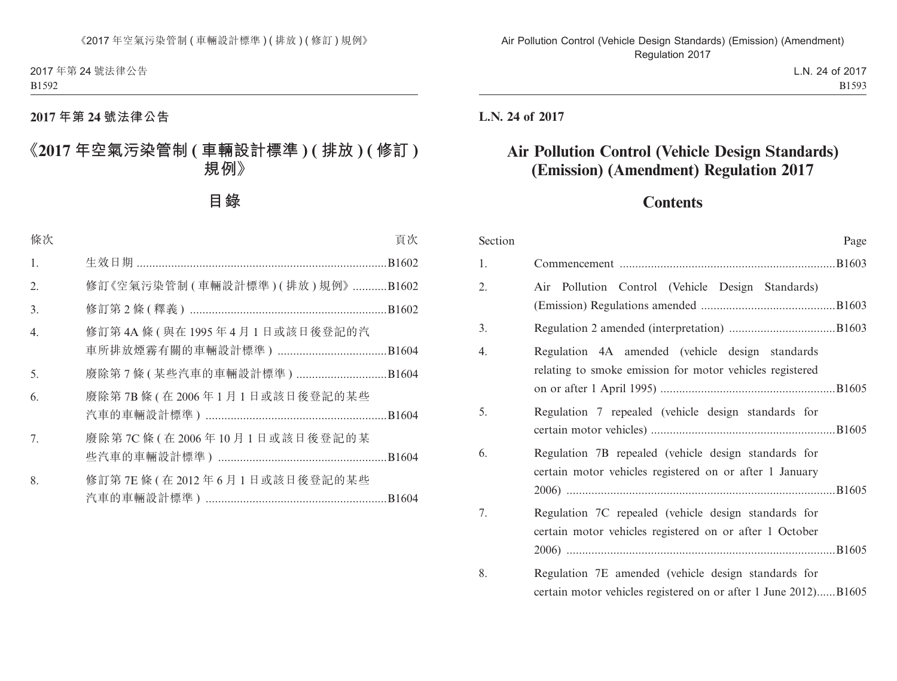# **2017 年第 24 號法律公告**

# **《2017 年空氣污染管制 ( 車輛設計標準 ) ( 排放 ) ( 修訂 ) 規例》**

**目錄**

| 條次               |                                  | 頁次 |
|------------------|----------------------------------|----|
| 1.               |                                  |    |
| 2.               | 修訂《空氣污染管制 (車輛設計標準) (排放) 規例》B1602 |    |
| 3.               |                                  |    |
| $\overline{4}$ . | 修訂第4A條(與在1995年4月1日或該日後登記的汽       |    |
| 5.               | 廢除第7條(某些汽車的車輛設計標準)B1604          |    |
| 6.               | 廢除第7B條(在2006年1月1日或該日後登記的某些       |    |
| 7.               | 廢除第7C條(在2006年10月1日或該日後登記的某       |    |
| 8.               | 修訂第 7E 條 (在 2012年6月1日或該日後登記的某些   |    |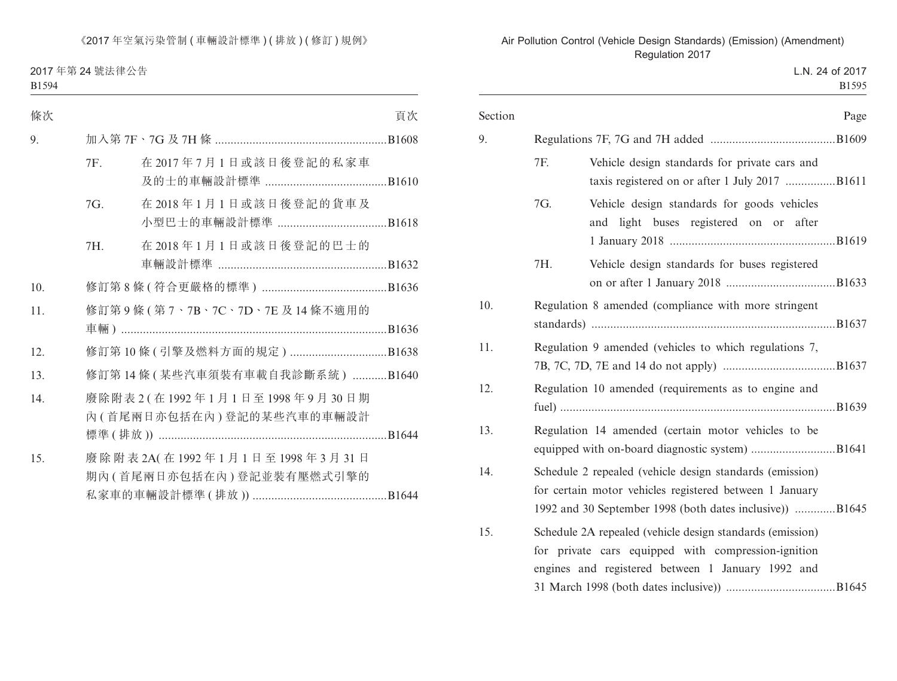2017 年第 24 號法律公告 B1594

| 條次  |     |                                                            | 頁次 |
|-----|-----|------------------------------------------------------------|----|
| 9.  |     |                                                            |    |
|     | 7F. | 在2017年7月1日或該日後登記的私家車                                       |    |
|     | 7G. | 在2018年1月1日或該日後登記的貨車及                                       |    |
|     | 7H. | 在2018年1月1日或該日後登記的巴士的                                       |    |
| 10. |     |                                                            |    |
| 11. |     | 修訂第9條(第7、7B、7C、7D、7E及14條不適用的                               |    |
|     |     |                                                            |    |
| 12. |     |                                                            |    |
| 13. |     | 修訂第14條(某些汽車須裝有車載自我診斷系統) B1640                              |    |
| 14. |     | 廢除附表 2 (在1992年1月1日至1998年9月30日期<br>內(首尾兩日亦包括在內)登記的某些汽車的車輛設計 |    |
| 15. |     | 廢除附表 2A(在1992年1月1日至1998年3月31日<br>期內(首尾兩日亦包括在內)登記並裝有壓燃式引擎的  |    |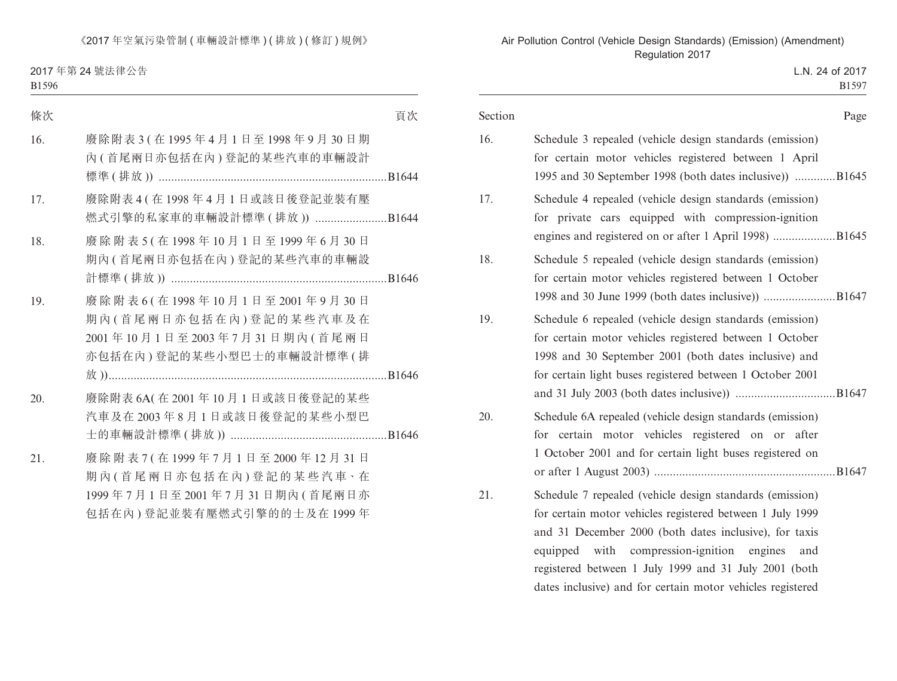2017 年第 24 號法律公告  $B1596$ 

| ۰, |  |
|----|--|
|    |  |

| 條次  |                                                                                                                         | 頁次 |
|-----|-------------------------------------------------------------------------------------------------------------------------|----|
| 16. | 廢除附表 3 (在 1995年4月1日至1998年9月30日期<br>內(首尾兩日亦包括在內)登記的某些汽車的車輛設計                                                             |    |
| 17. | 廢除附表 4 (在 1998年4月1日或該日後登記並裝有壓<br>燃式引擎的私家車的車輛設計標準 (排放)) B1644                                                            |    |
| 18. | 廢除附表 5 (在 1998年10月1日至1999年6月30日<br>期內(首尾兩日亦包括在內)登記的某些汽車的車輛設                                                             |    |
| 19. | 廢除附表 6 (在1998年10月1日至2001年9月30日<br>期內(首尾兩日亦包括在內)登記的某些汽車及在<br>2001年10月1日至2003年7月31日期內(首尾兩日<br>亦包括在內)登記的某些小型巴士的車輛設計標準(排    |    |
| 20. | 廢除附表 6A(在 2001年10月1日或該日後登記的某些<br>汽車及在2003年8月1日或該日後登記的某些小型巴                                                              |    |
| 21. | 廢除附表 7 (在 1999年7月1日至 2000年12月31日<br>期內(首尾兩日亦包括在內)登記的某些汽車·在<br>1999年7月1日至2001年7月31日期內(首尾兩日亦<br>包括在內)登記並裝有壓燃式引擎的的士及在1999年 |    |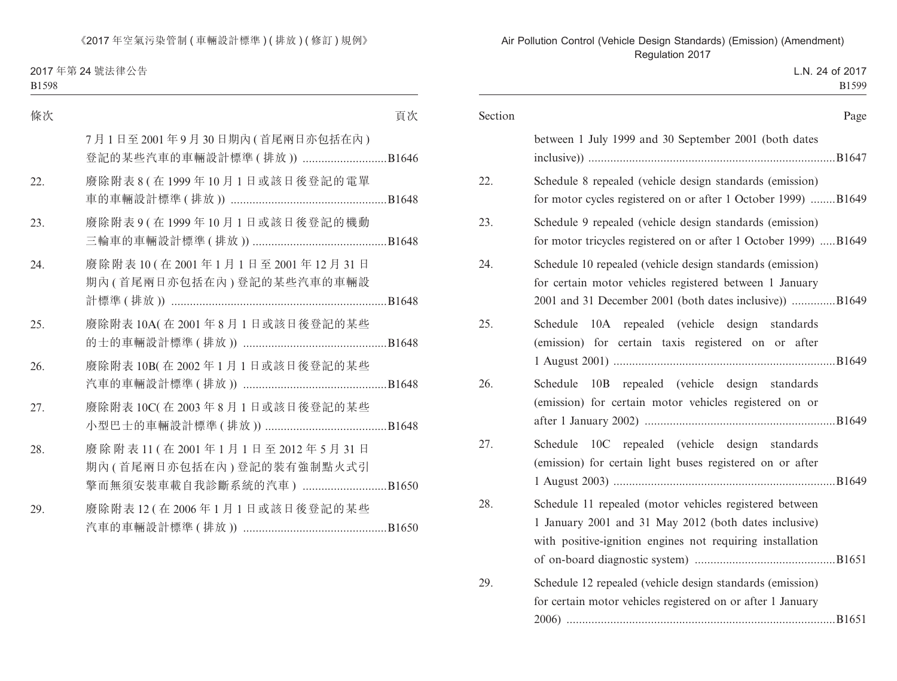2017 年第 24 號法律公告

|--|--|

| 條次  |                                                                                       | 頁次 |
|-----|---------------------------------------------------------------------------------------|----|
|     | 7月1日至2001年9月30日期內(首尾兩日亦包括在內)<br>登記的某些汽車的車輛設計標準 (排放)) B1646                            |    |
| 22. | 廢除附表 8 (在 1999年10月1日或該日後登記的電單                                                         |    |
| 23. | 廢除附表9(在1999年10月1日或該日後登記的機動                                                            |    |
| 24. | 廢除附表10(在2001年1月1日至2001年12月31日<br>期內(首尾兩日亦包括在內)登記的某些汽車的車輛設                             |    |
| 25. | 廢除附表 10A(在 2001年8月1日或該日後登記的某些                                                         |    |
| 26. | 廢除附表 10B(在 2002年1月1日或該日後登記的某些                                                         |    |
| 27. | 廢除附表 10C(在 2003年8月1日或該日後登記的某些                                                         |    |
| 28. | 廢除附表11 (在2001年1月1日至2012年5月31日<br>期內(首尾兩日亦包括在內)登記的裝有強制點火式引<br>擎而無須安裝車載自我診斷系統的汽車) B1650 |    |
| 29. | 廢除附表 12 (在 2006年1月1日或該日後登記的某些                                                         |    |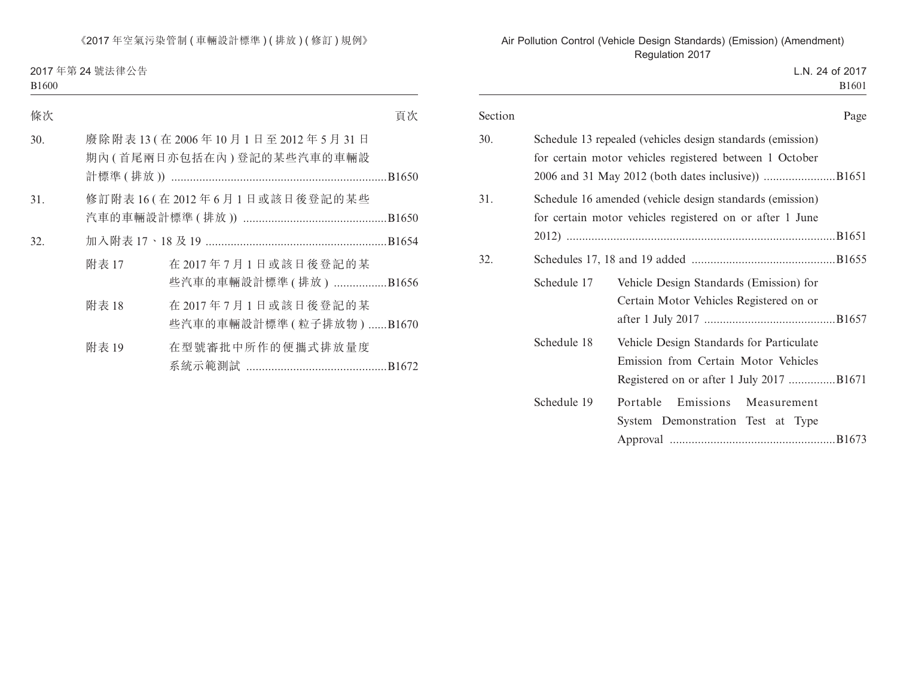2017 年第 24 號法律公告 B1600

| 條次  |       |                                                           | 頁次 |
|-----|-------|-----------------------------------------------------------|----|
| 30. |       | 廢除附表13(在2006年10月1日至2012年5月31日<br>期內(首尾兩日亦包括在內)登記的某些汽車的車輛設 |    |
| 31. |       | 修訂附表 16 (在 2012年6月1日或該日後登記的某些                             |    |
| 32. |       |                                                           |    |
|     | 附表 17 | 在 2017年7月1日或該日後登記的某<br>些汽車的車輛設計標準 (排放) B1656              |    |
|     | 附表 18 | 在2017年7月1日或該日後登記的某<br>些汽車的車輛設計標準 (粒子排放物) B1670            |    |
|     | 附表 19 | 在型號審批中所作的便攜式排放量度                                          |    |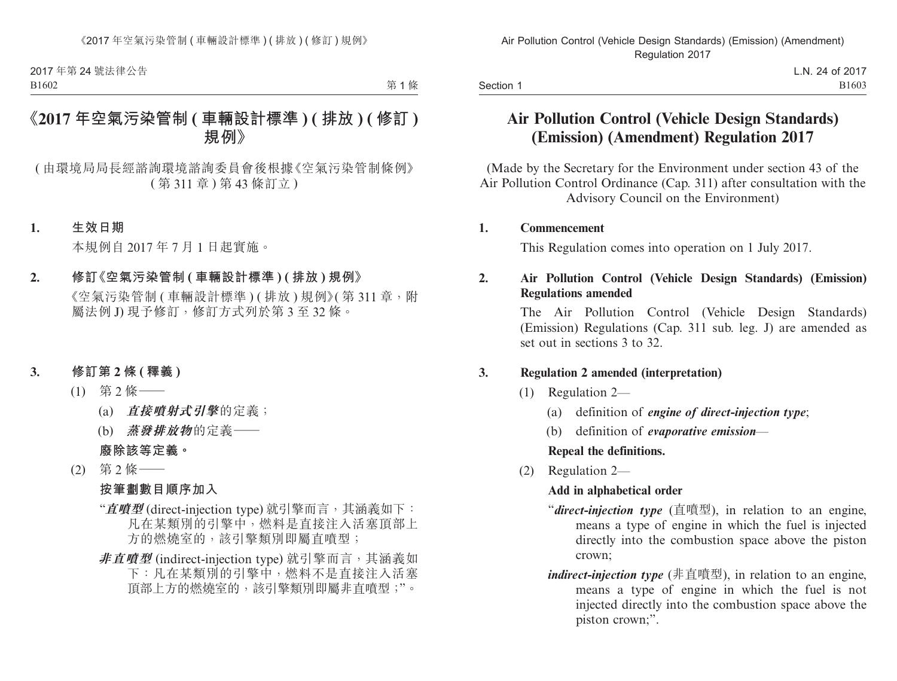第1條

# **《2017 年空氣污染管制 ( 車輛設計標準 ) ( 排放 ) ( 修訂 ) 規例》**

( 由環境局局長經諮詢環境諮詢委員會後根據《空氣污染管制條例》 ( 第 311 章 ) 第 43 條訂立 )

#### **1. 生效日期**

本規例自 2017 年 7 月 1 日起實施。

#### **2. 修訂《空氣污染管制 ( 車輛設計標準 ) ( 排放 ) 規例》**

《空氣污染管制 ( 車輛設計標準 ) ( 排放 ) 規例》( 第 311 章, 附 屬法例 J) 現予修訂,修訂方式列於第 3 至 32 條。

#### **3. 修訂第 2 條 ( 釋義 )**

- (1) 第 2 條——
	- (a) **直接噴射式引擎**的定義;
	- (b) **蒸發排放物**的定義——

**廢除該等定義。**

(2) 第 2 條——

#### **按筆劃數目順序加入**

- "**直噴型** (direct-injection type) 就引擎而言,其涵義如下: 凡在某類別的引擎中,燃料是直接注入活塞頂部上 方的燃燒室的,該引擎類別即屬直噴型;
- **非直噴型** (indirect-injection type) 就引擎而言,其涵義如 下:凡在某類別的引擎中,燃料不是直接注入活塞 頂部上方的燃燒室的,該引擎類別即屬非直噴型;"。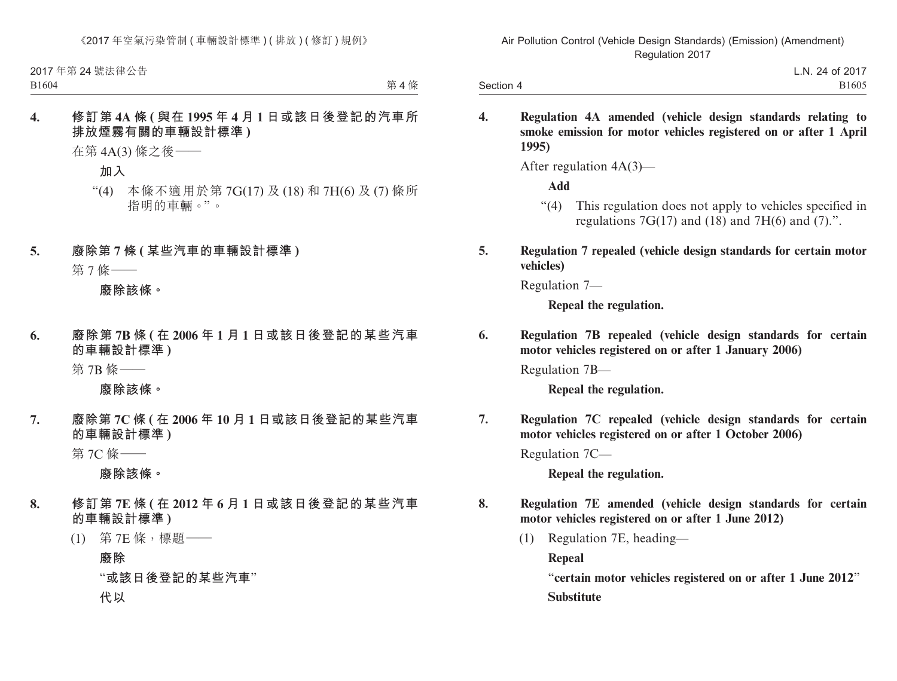第4條

## **4. 修訂第 4A 條 ( 與在 1995 年 4 月 1 日或該日後登記的汽車所 排放煙霧有關的車輛設計標準 )**

在第 4A(3) 條之後——

**加入**

- "(4) 本條不適用於第 7G(17) 及 (18) 和 7H(6) 及 (7) 條所 指明的車輛。"。
- **5. 廢除第 7 條 ( 某些汽車的車輛設計標準 )**

第 7 條——

**廢除該條。**

**6. 廢除第 7B 條 ( 在 2006 年 1 月 1 日或該日後登記的某些汽車 的車輛設計標準 )**

第 7B 條——

**廢除該條。**

**7. 廢除第 7C 條 ( 在 2006 年 10 月 1 日或該日後登記的某些汽車 的車輛設計標準 )**

第 7C 條——

**廢除該條。**

- **8. 修訂第 7E 條 ( 在 2012 年 6 月 1 日或該日後登記的某些汽車 的車輛設計標準 )**
	- (1) 第 7E 條,標題——

**廢除**

"**或該日後登記的某些汽車**"

**代以**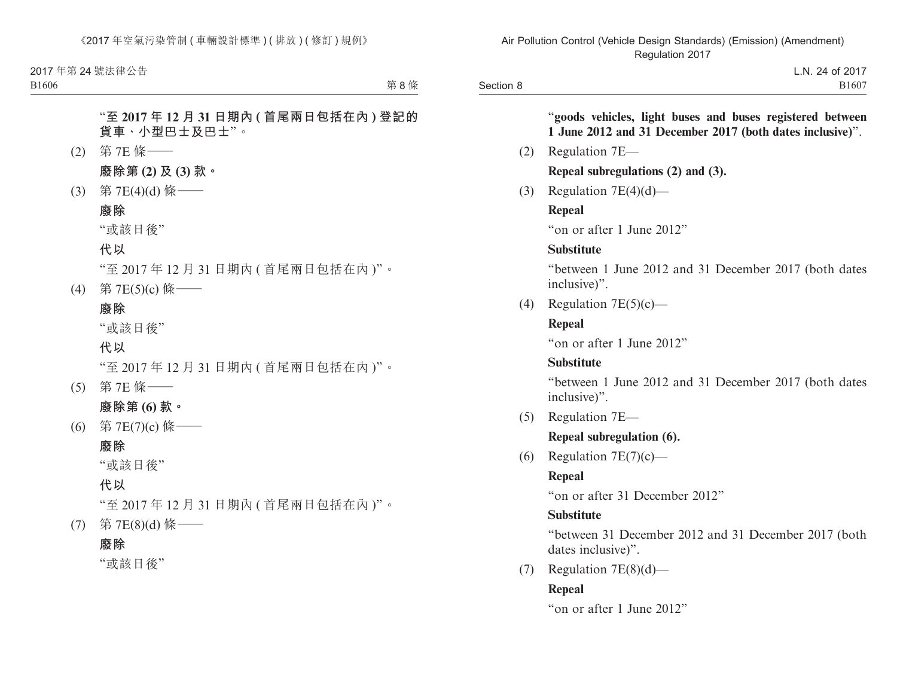B1606

第 $R$ 條

"**至 2017 年 12 月 31 日期內 ( 首尾兩日包括在內 ) 登記的 貨車、小型巴士及巴士**"。

- (2) 第 7E 條—— **廢除第 (2) 及 (3) 款。**
- (3) 第 7E(4)(d) 條——

## **廢除**

"或該日後"

### **代以**

"至 2017 年 12 月 31 日期內 ( 首尾兩日包括在內 )"。

(4) 第 7E(5)(c) 條——

## **廢除**

"或該日後"

### **代以**

"至 2017 年 12 月 31 日期內 ( 首尾兩日包括在內 )"。

- (5) 第 7E 條—— **廢除第 (6) 款。**
- (6) 第 7E(7)(c) 條——

## **廢除**

"或該日後"

## **代以**

"至 2017 年 12 月 31 日期內 ( 首尾兩日包括在內 )"。 (7) 第 7E(8)(d) 條——

### **廢除**

"或該日後"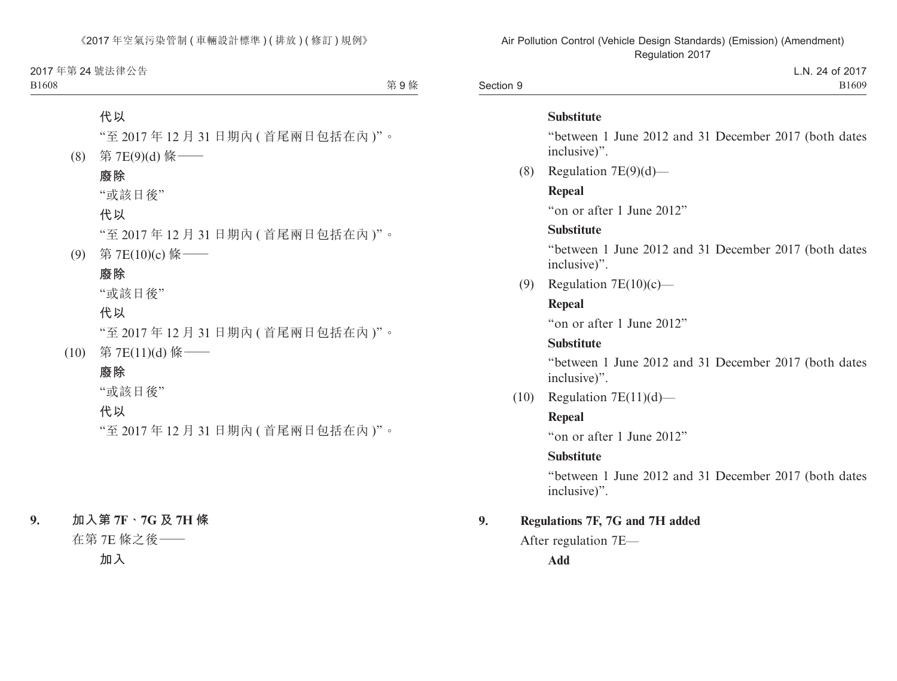2017 年第 24 號法律公告 B1608

第9條

## **代以**

"至 2017 年 12 月 31 日期內 ( 首尾兩日包括在內 )"。

(8) 第 7E(9)(d) 條——

#### **廢除**

"或該日後"

## **代以**

"至 2017 年 12 月 31 日期內 ( 首尾兩日包括在內 )"。

(9) 第 7E(10)(c) 條——

# **廢除**

"或該日後"

## **代以**

"至 2017 年 12 月 31 日期內 ( 首尾兩日包括在內 )"。

(10) 第 7E(11)(d) 條——

## **廢除**

"或該日後"

#### **代以**

"至 2017 年 12 月 31 日期內 ( 首尾兩日包括在內 )"。

### **9. 加入第 7F、7G 及 7H 條**

在第 7E 條之後——

**加入**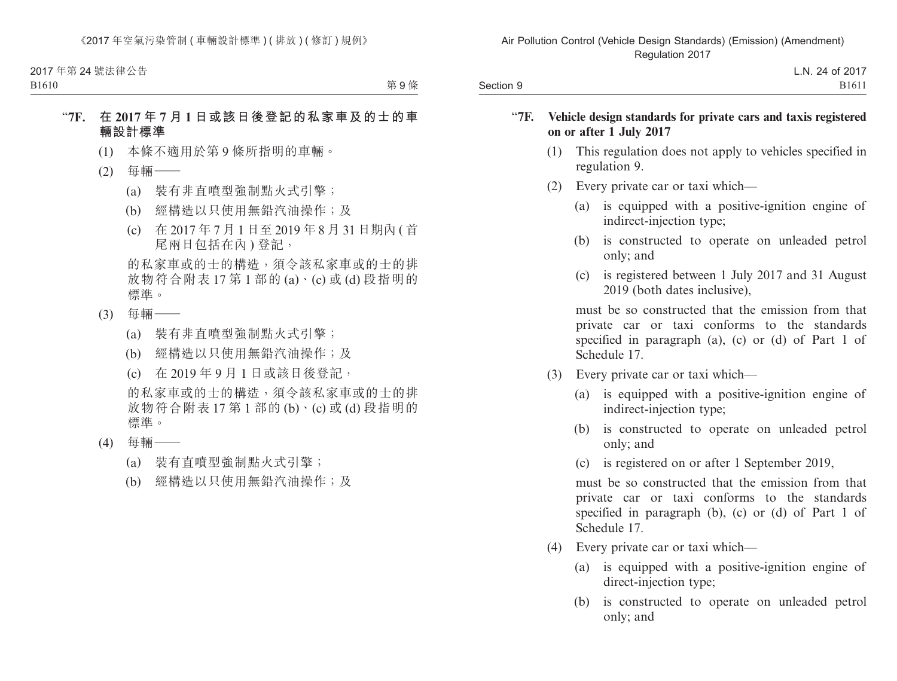B1610

第9條

## "**7F. 在 2017 年 7 月 1 日或該日後登記的私家車及的士的車 輛設計標準**

- (1) 本條不適用於第 9 條所指明的車輛。
- (2) 每輛——
	- (a) 裝有非直噴型強制點火式引擎;
	- (b) 經構造以只使用無鉛汽油操作;及
	- (c) 在 2017 年 7 月 1 日至 2019 年 8 月 31 日期內 ( 首 尾兩日包括在內 ) 登記,

的私家車或的士的構造,須令該私家車或的士的排 放物符合附表 17 第 1 部的 (a)、(c) 或 (d) 段指明的 標準。

- (3) 每輛——
	- (a) 裝有非直噴型強制點火式引擎;
	- (b) 經構造以只使用無鉛汽油操作;及
	- (c) 在 2019 年 9 月 1 日或該日後登記,

的私家車或的士的構造,須令該私家車或的士的排 放物符合附表 17 第 1 部的 (b)、(c) 或 (d) 段指明的 標準。

- (4) 每輛——
	- (a) 裝有直噴型強制點火式引擎;
	- (b) 經構造以只使用無鉛汽油操作;及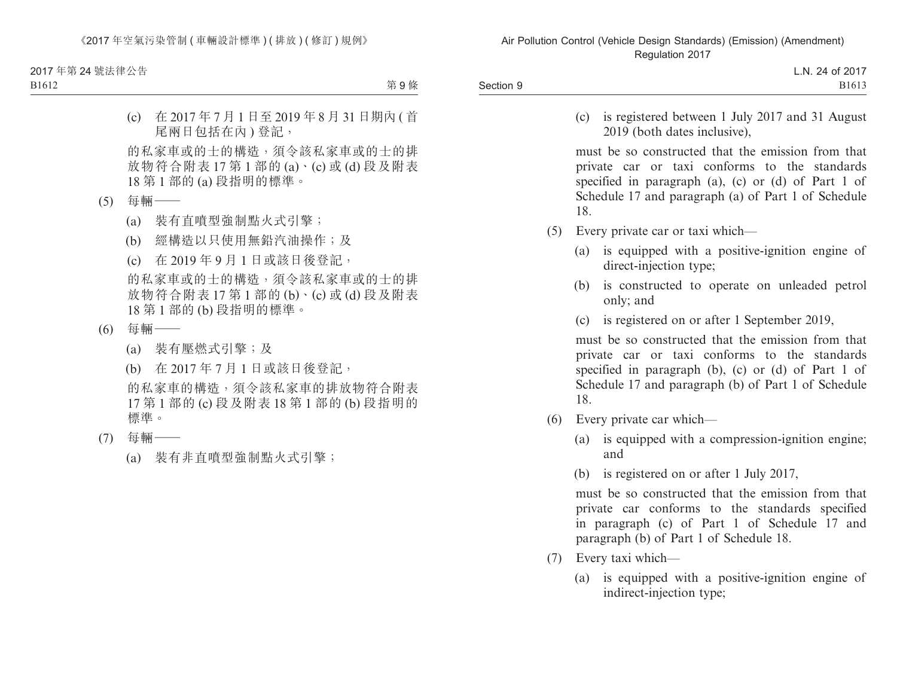B1612

第9條

(c) 在 2017 年 7 月 1 日至 2019 年 8 月 31 日期內 ( 首 尾兩日包括在內 ) 登記,

的私家車或的士的構造,須令該私家車或的士的排 放物符合附表 17 第 1 部的 (a)、(c) 或 (d) 段及附表 18 第 1 部的 (a) 段指明的標準。

- (5) 每輛——
	- (a) 裝有直噴型強制點火式引擎;
	- (b) 經構造以只使用無鉛汽油操作;及
	- (c) 在 2019 年 9 月 1 日或該日後登記,

的私家車或的士的構造,須令該私家車或的士的排 放物符合附表 17 第 1 部的 (b)、(c) 或 (d) 段及附表 18 第 1 部的 (b) 段指明的標準。

- (6) 每輛——
	- (a) 裝有壓燃式引擎;及
	- (b) 在 2017 年 7 月 1 日或該日後登記,

的私家車的構造,須令該私家車的排放物符合附表 17 第 1 部的 (c) 段及附表 18 第 1 部的 (b) 段指明的 標準。

- (7) 每輛——
	- (a) 裝有非直噴型強制點火式引擎;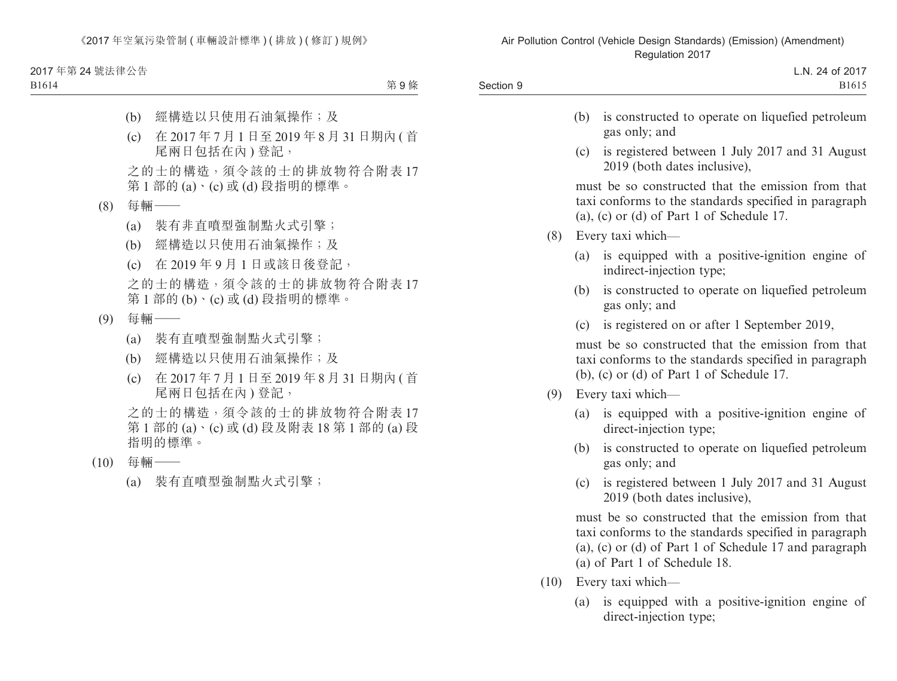2017 年第 24 號法律公告

B1614

第9條

- (b) 經構造以只使用石油氣操作;及
- (c) 在 2017 年 7 月 1 日至 2019 年 8 月 31 日期內 ( 首 尾兩日包括在內 ) 登記,

之的士的構造,須令該的士的排放物符合附表 17 第 1 部的 (a)、(c) 或 (d) 段指明的標準。

- (8) 每輛——
	- (a) 裝有非直噴型強制點火式引擎;
	- (b) 經構造以只使用石油氣操作;及
	- (c) 在 2019 年 9 月 1 日或該日後登記,

之的士的構造,須令該的士的排放物符合附表 17 第 1 部的 (b)、(c) 或 (d) 段指明的標準。

- (9) 每輛——
	- (a) 裝有直噴型強制點火式引擎;
	- (b) 經構造以只使用石油氣操作;及
	- (c) 在 2017 年 7 月 1 日至 2019 年 8 月 31 日期內 ( 首 尾兩日包括在內 ) 登記,

之的士的構造,須令該的士的排放物符合附表 17 第 1 部的 (a)、(c) 或 (d) 段及附表 18 第 1 部的 (a) 段 指明的標準。

- (10) 每輛——
	- (a) 裝有直噴型強制點火式引擎;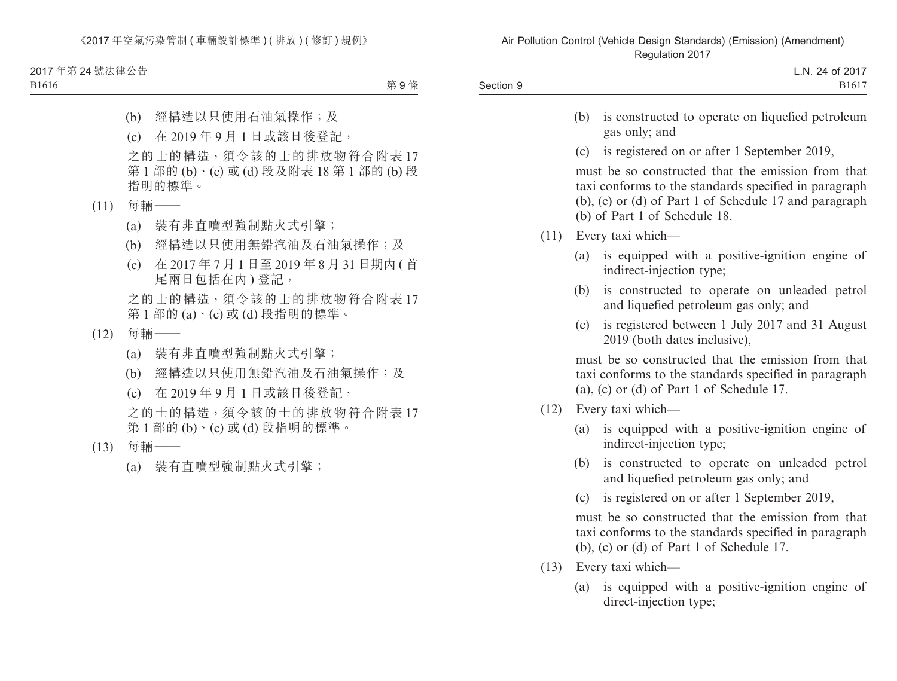2017 年第 24 號法律公告

B1616

第9條

- (b) 經構造以只使用石油氣操作;及
- (c) 在 2019 年 9 月 1 日或該日後登記,

之的士的構造,須令該的士的排放物符合附表 17 第 1 部的 (b)、(c) 或 (d) 段及附表 18 第 1 部的 (b) 段 指明的標準。

- (11) 每輛——
	- (a) 裝有非直噴型強制點火式引擎;
	- (b) 經構造以只使用無鉛汽油及石油氣操作;及
	- (c) 在 2017 年 7 月 1 日至 2019 年 8 月 31 日期內 ( 首 尾兩日包括在內 ) 登記,

之的士的構造,須令該的士的排放物符合附表 17 第 1 部的 (a)、(c) 或 (d) 段指明的標準。

- (12) 每輛——
	- (a) 裝有非直噴型強制點火式引擎;
	- (b) 經構造以只使用無鉛汽油及石油氣操作;及
	- (c) 在 2019 年 9 月 1 日或該日後登記,

之的士的構造,須令該的士的排放物符合附表 17 第 1 部的 (b)、(c) 或 (d) 段指明的標準。

- (13) 每輛——
	- (a) 裝有直噴型強制點火式引擎;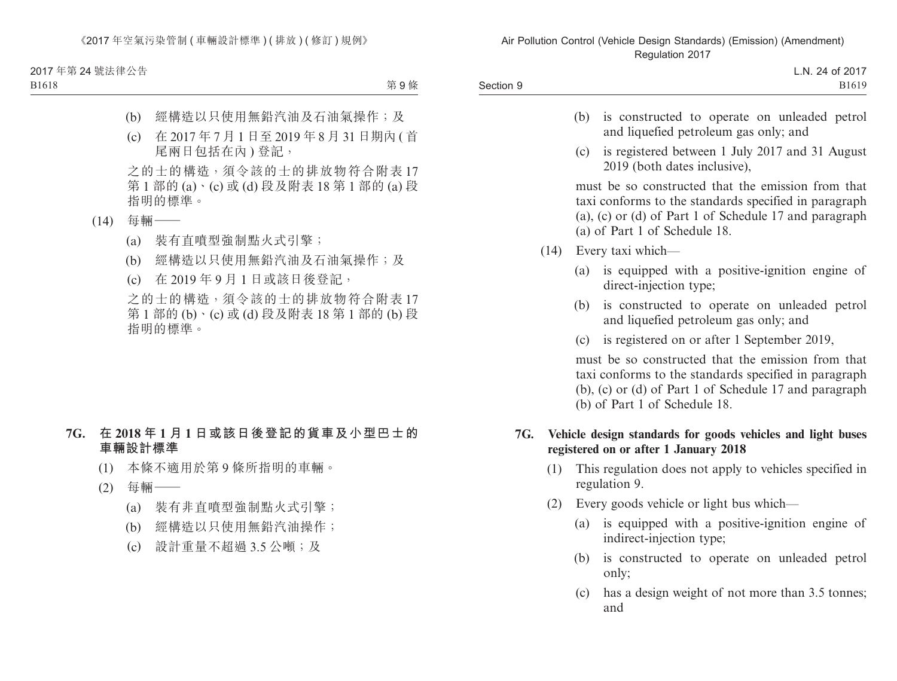2017 年第 24 號法律公告

B1618

第9條

- (b) 經構造以只使用無鉛汽油及石油氣操作;及
- (c) 在 2017 年 7 月 1 日至 2019 年 8 月 31 日期內 ( 首 尾兩日包括在內 ) 登記,

之的士的構造,須令該的士的排放物符合附表 17 第 1 部的 (a)、(c) 或 (d) 段及附表 18 第 1 部的 (a) 段 指明的標準。

- (14) 每輛——
	- (a) 裝有直噴型強制點火式引擎;
	- (b) 經構造以只使用無鉛汽油及石油氣操作;及
	- (c) 在 2019 年 9 月 1 日或該日後登記,

之的士的構造,須令該的士的排放物符合附表 17 第 1 部的 (b)、(c) 或 (d) 段及附表 18 第 1 部的 (b) 段 指明的標準。

## **7G. 在 2018 年 1 月 1 日或該日後登記的貨車及小型巴士的 車輛設計標準**

- (1) 本條不適用於第 9 條所指明的車輛。
- (2) 每輛——
	- (a) 裝有非直噴型強制點火式引擎;
	- (b) 經構造以只使用無鉛汽油操作;
	- (c) 設計重量不超過 3.5 公噸;及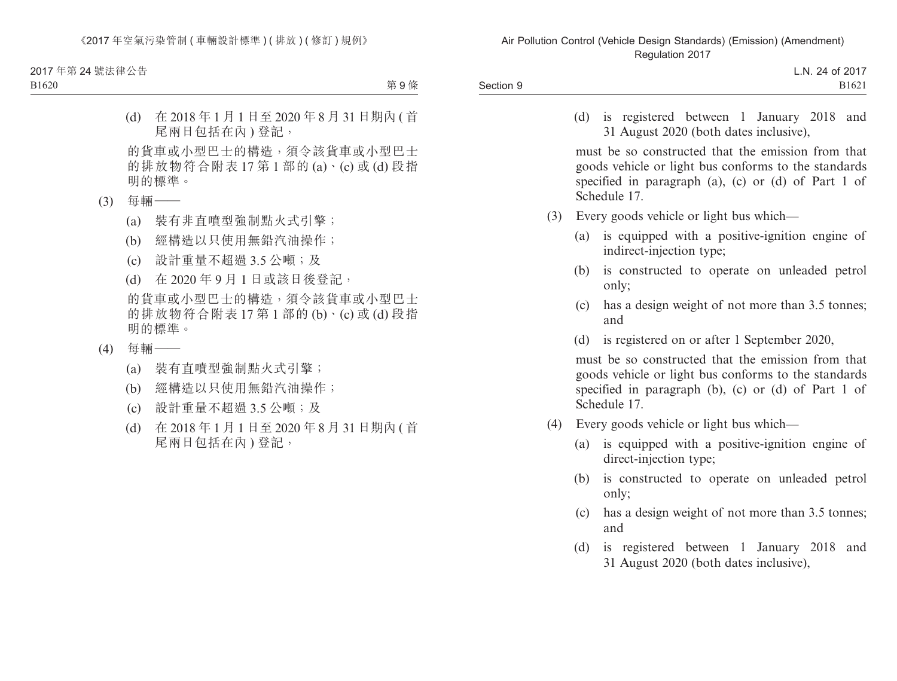2017 年第 24 號法律公告

B1620

第9條

(d) 在 2018 年 1 月 1 日至 2020 年 8 月 31 日期內 ( 首 尾兩日包括在內 ) 登記,

的貨車或小型巴士的構造,須令該貨車或小型巴士 的排放物符合附表  $17$  第 1 部的  $(a) \cdot (c)$  或  $(d)$  段指 明的標準。

- (3) 每輛——
	- (a) 裝有非直噴型強制點火式引擎;
	- (b) 經構造以只使用無鉛汽油操作;
	- (c) 設計重量不超過 3.5 公噸;及
	- (d) 在 2020 年 9 月 1 日或該日後登記,

的貨車或小型巴士的構造,須令該貨車或小型巴士 的排放物符合附表 17 第 1 部的 (b)、(c) 或 (d) 段指 明的標準。

- (4) 每輛——
	- (a) 裝有直噴型強制點火式引擎;
	- (b) 經構造以只使用無鉛汽油操作;
	- (c) 設計重量不超過 3.5 公噸;及
	- (d) 在 2018 年 1 月 1 日至 2020 年 8 月 31 日期內 ( 首 尾兩日包括在內 ) 登記,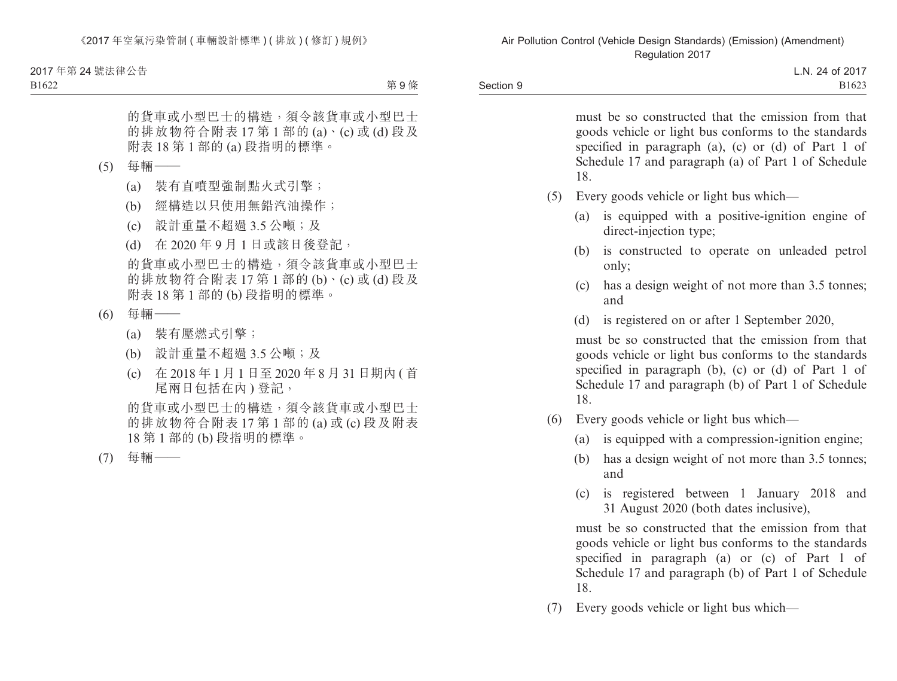B1622

第9條

的貨車或小型巴士的構造,須令該貨車或小型巴士 的排放物符合附表  $17$  第 1 部的  $(a) \cdot (c)$  或  $(d)$  段及 附表 18 第 1 部的 (a) 段指明的標準。

- (5) 每輛——
	- (a) 裝有直噴型強制點火式引擎;
	- (b) 經構造以只使用無鉛汽油操作;
	- (c) 設計重量不超過 3.5 公噸;及
	- (d) 在 2020 年 9 月 1 日或該日後登記,

的貨車或小型巴士的構造,須令該貨車或小型巴士 的排放物符合附表 17 第 1 部的 (b)、(c) 或 (d) 段及 附表 18 第 1 部的 (b) 段指明的標準。

- (6) 每輛——
	- (a) 裝有壓燃式引擎;
	- (b) 設計重量不超過 3.5 公噸;及
	- (c) 在 2018 年 1 月 1 日至 2020 年 8 月 31 日期內 ( 首 尾兩日包括在內 ) 登記,

的貨車或小型巴士的構造,須令該貨車或小型巴士 的排放物符合附表 17 第 1 部的 (a) 或 (c) 段及附表 18 第 1 部的 (b) 段指明的標準。

(7) 每輛——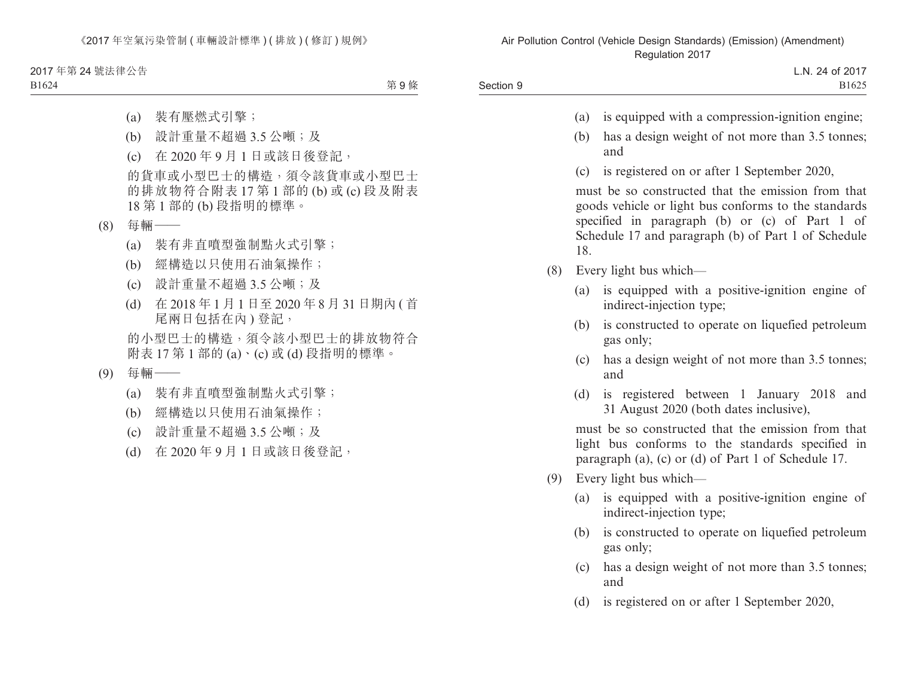2017 年第 24 號法律公告 B1624

第9條

- (a) 裝有壓燃式引擎;
- (b) 設計重量不超過 3.5 公噸;及
- (c) 在 2020 年 9 月 1 日或該日後登記,

的貨車或小型巴士的構造,須令該貨車或小型巴士 的排放物符合附表 17 第 1 部的 (b) 或 (c) 段及附表 18 第 1 部的 (b) 段指明的標準。

- (8) 每輛——
	- (a) 裝有非直噴型強制點火式引擎;
	- (b) 經構造以只使用石油氣操作;
	- (c) 設計重量不超過 3.5 公噸;及
	- (d) 在 2018 年 1 月 1 日至 2020 年 8 月 31 日期內 ( 首 尾兩日包括在內 ) 登記,

的小型巴士的構造,須令該小型巴士的排放物符合 附表 17 第 1 部的 (a)、(c) 或 (d) 段指明的標準。

- (9) 每輛——
	- (a) 裝有非直噴型強制點火式引擎;
	- (b) 經構造以只使用石油氣操作;
	- (c) 設計重量不超過 3.5 公噸;及
	- (d) 在 2020 年 9 月 1 日或該日後登記,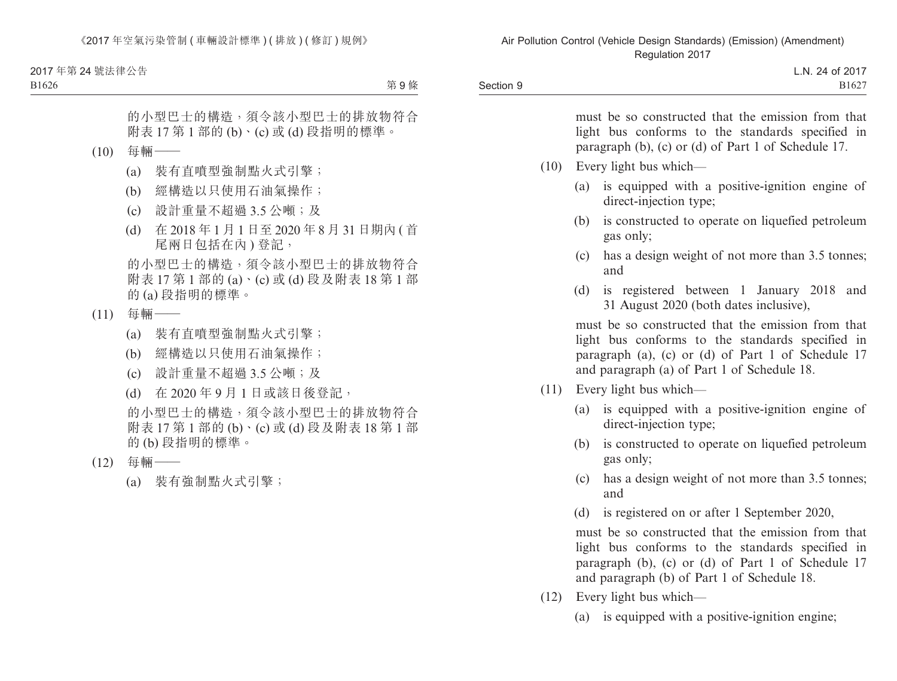2017 年第 24 號法律公告

B1626

第9條

的小型巴士的構造,須令該小型巴士的排放物符合 附表 17 第 1 部的 (b)、(c) 或 (d) 段指明的標準。

- (10) 每輛——
	- (a) 裝有直噴型強制點火式引擎;
	- (b) 經構造以只使用石油氣操作;
	- (c) 設計重量不超過 3.5 公噸;及
	- (d) 在 2018 年 1 月 1 日至 2020 年 8 月 31 日期內 ( 首 尾兩日包括在內 ) 登記,

的小型巴士的構造,須令該小型巴士的排放物符合 附表 17 第 1 部的 (a)、(c) 或 (d) 段及附表 18 第 1 部 的 (a) 段指明的標準。

- (11) 每輛——
	- (a) 裝有直噴型強制點火式引擎;
	- (b) 經構造以只使用石油氣操作;
	- (c) 設計重量不超過 3.5 公噸;及
	- (d) 在 2020 年 9 月 1 日或該日後登記,

的小型巴士的構造,須令該小型巴士的排放物符合 附表 17 第 1 部的 (b)、(c) 或 (d) 段及附表 18 第 1 部 的 (b) 段指明的標準。

- (12) 每輛——
	- (a) 裝有強制點火式引擎;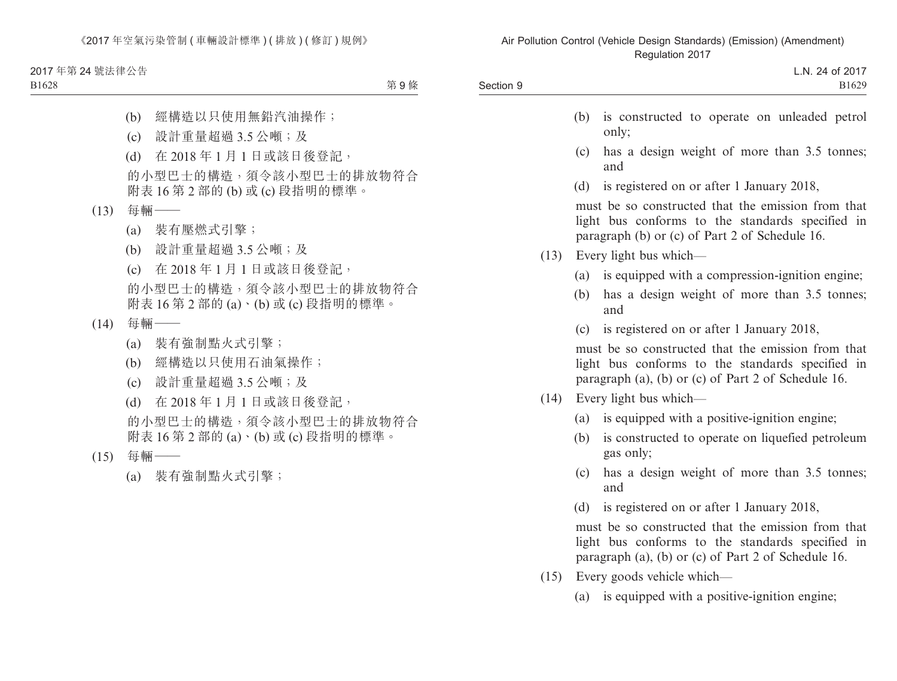2017 年第 24 號法律公告

#### B1628

第9條

- (b) 經構造以只使用無鉛汽油操作;
- (c) 設計重量超過 3.5 公噸;及
- (d) 在 2018 年 1 月 1 日或該日後登記,
- 的小型巴士的構造,須令該小型巴士的排放物符合 附表 16 第 2 部的 (b) 或 (c) 段指明的標準。
- (13) 每輛——
	- (a) 裝有壓燃式引擎;
	- (b) 設計重量超過 3.5 公噸;及
	- (c) 在 2018 年 1 月 1 日或該日後登記,

的小型巴士的構造,須令該小型巴士的排放物符合 附表 16 第 2 部的 (a)、(b) 或 (c) 段指明的標準。

- $(14)$  每輛 ——
	- (a) 裝有強制點火式引擎;
	- (b) 經構造以只使用石油氣操作;
	- (c) 設計重量超過 3.5 公噸;及
	- (d) 在 2018 年 1 月 1 日或該日後登記,

的小型巴士的構造,須令該小型巴士的排放物符合 附表 16 第 2 部的 (a)、(b) 或 (c) 段指明的標準。

- (15) 每輛——
	- (a) 裝有強制點火式引擎;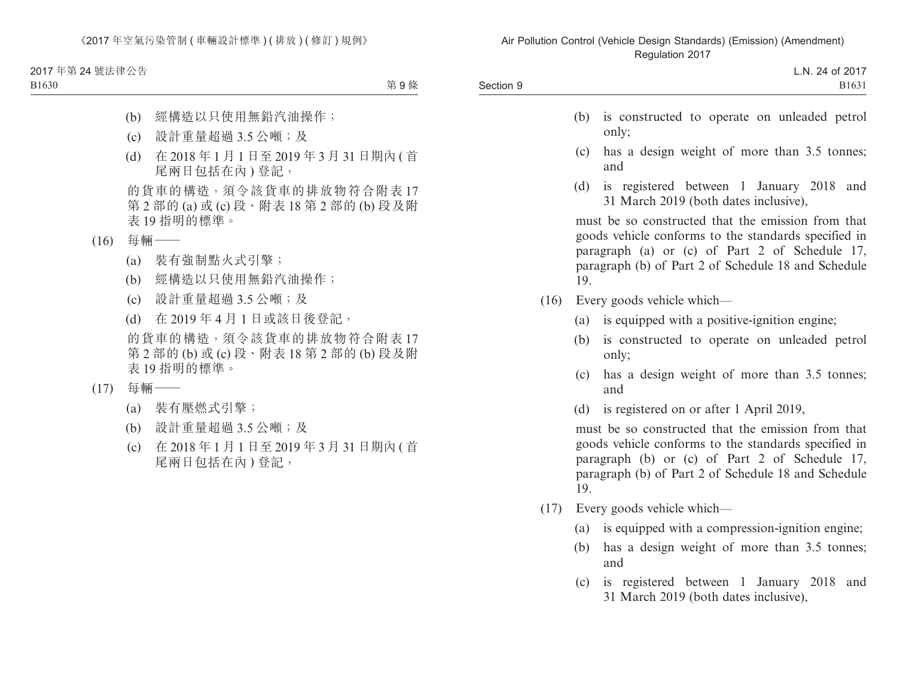2017 年第 24 號法律公告 B1630

第9條

- (b) 經構造以只使用無鉛汽油操作;
- (c) 設計重量超過 3.5 公噸;及
- (d) 在 2018 年 1 月 1 日至 2019 年 3 月 31 日期內 ( 首 尾兩日包括在內 ) 登記,

的貨車的構造,須令該貨車的排放物符合附表 17 第 2 部的 (a) 或 (c) 段、附表 18 第 2 部的 (b) 段及附 表 19 指明的標準。

- (16) 每輛——
	- (a) 裝有強制點火式引擎;
	- (b) 經構造以只使用無鉛汽油操作;
	- (c) 設計重量超過 3.5 公噸;及
	- (d) 在 2019 年 4 月 1 日或該日後登記, 的貨車的構造,須令該貨車的排放物符合附表 17

第 2 部的 (b) 或 (c) 段、附表 18 第 2 部的 (b) 段及附 表 19 指明的標準。

- (17) 每輛——
	- (a) 裝有壓燃式引擎;
	- (b) 設計重量超過 3.5 公噸;及
	- (c) 在 2018 年 1 月 1 日至 2019 年 3 月 31 日期內 ( 首 尾兩日包括在內 ) 登記,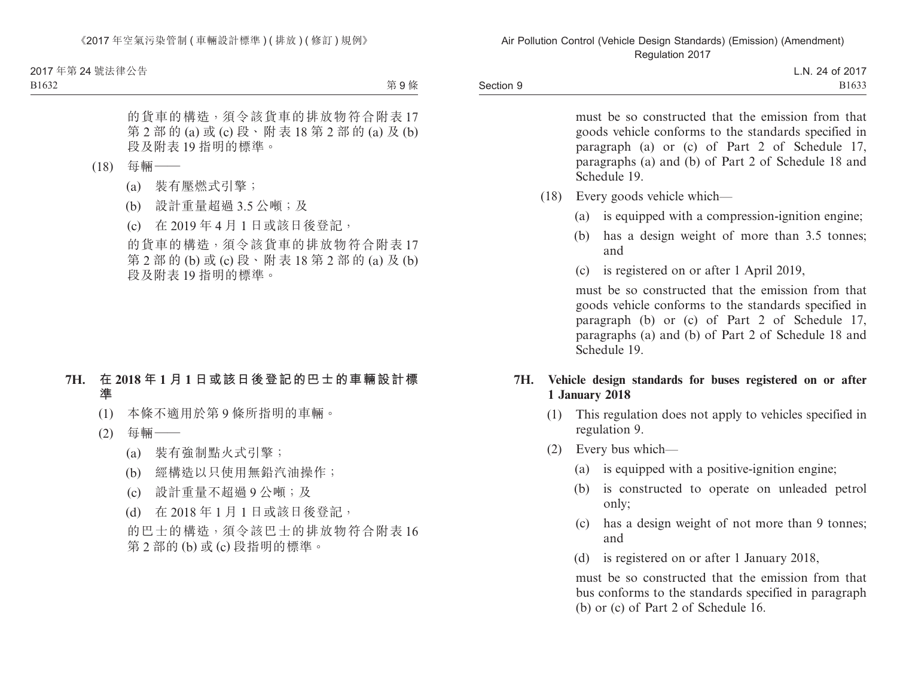B1632

第 9 條

的貨車的構造,須令該貨車的排放物符合附表 17 第 2 部 的 (a) 或 (c) 段、附 表 18 第 2 部 的 (a) 及 (b) 段及附表 19 指明的標準。

- (18) 每輛——
	- (a) 裝有壓燃式引擎;
	- (b) 設計重量超過 3.5 公噸;及
	- (c) 在 2019 年 4 月 1 日或該日後登記,

的貨車的構造,須令該貨車的排放物符合附表 17 第 2 部 的 (b) 或 (c) 段、附 表 18 第 2 部 的 (a) 及 (b) 段及附表 19 指明的標準。

## **7H. 在 2018 年 1 月 1 日或該日後登記的巴士的車輛設計標 準**

- (1) 本條不適用於第 9 條所指明的車輛。
- (2) 每輛——
	- (a) 裝有強制點火式引擎;
	- (b) 經構造以只使用無鉛汽油操作;
	- (c) 設計重量不超過 9 公噸;及
	- (d) 在 2018 年 1 月 1 日或該日後登記,

的巴士的構造,須令該巴士的排放物符合附表 16 第 2 部的 (b) 或 (c) 段指明的標準。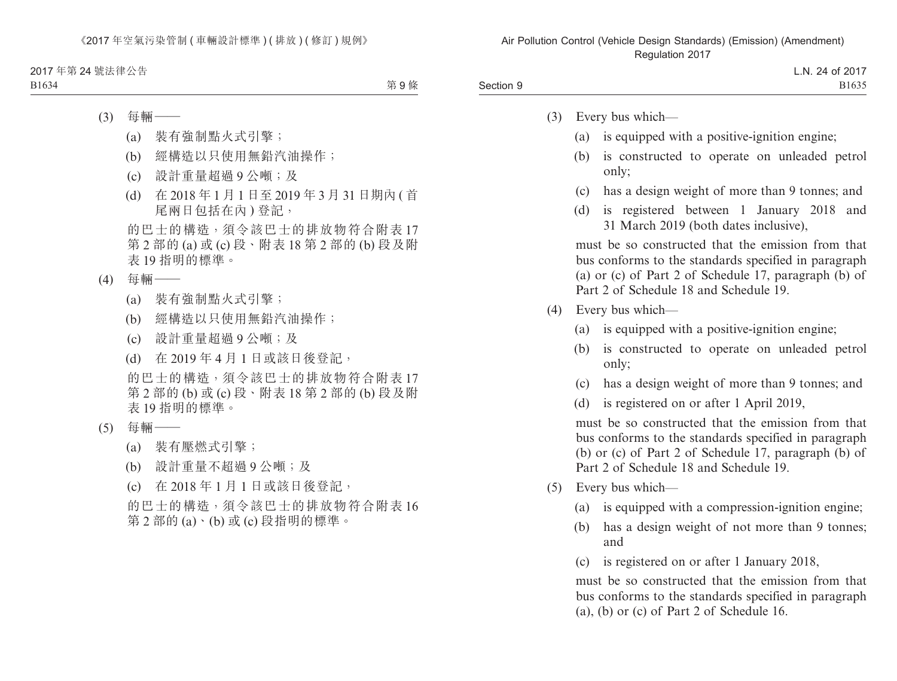第9條

- (3) 每輛——
	- (a) 裝有強制點火式引擎;
	- (b) 經構造以只使用無鉛汽油操作;
	- (c) 設計重量超過 9 公噸;及
	- (d) 在 2018 年 1 月 1 日至 2019 年 3 月 31 日期內 ( 首 尾兩日包括在內 ) 登記,

的巴士的構造,須令該巴士的排放物符合附表 17 第 2 部的 (a) 或 (c) 段、附表 18 第 2 部的 (b) 段及附 表 19 指明的標準。

- (4) 每輛——
	- (a) 裝有強制點火式引擎;
	- (b) 經構造以只使用無鉛汽油操作;
	- (c) 設計重量超過 9 公噸;及
	- (d) 在 2019 年 4 月 1 日或該日後登記,
	- 的巴士的構造,須令該巴士的排放物符合附表 17 第 2 部的 (b) 或 (c) 段、附表 18 第 2 部的 (b) 段及附 表 19 指明的標準。
- (5) 每輛——
	- (a) 裝有壓燃式引擎;
	- (b) 設計重量不超過 9 公噸;及
	- (c) 在 2018 年 1 月 1 日或該日後登記,

的巴士的構造,須令該巴士的排放物符合附表 16 第 2 部的 (a)、(b) 或 (c) 段指明的標準。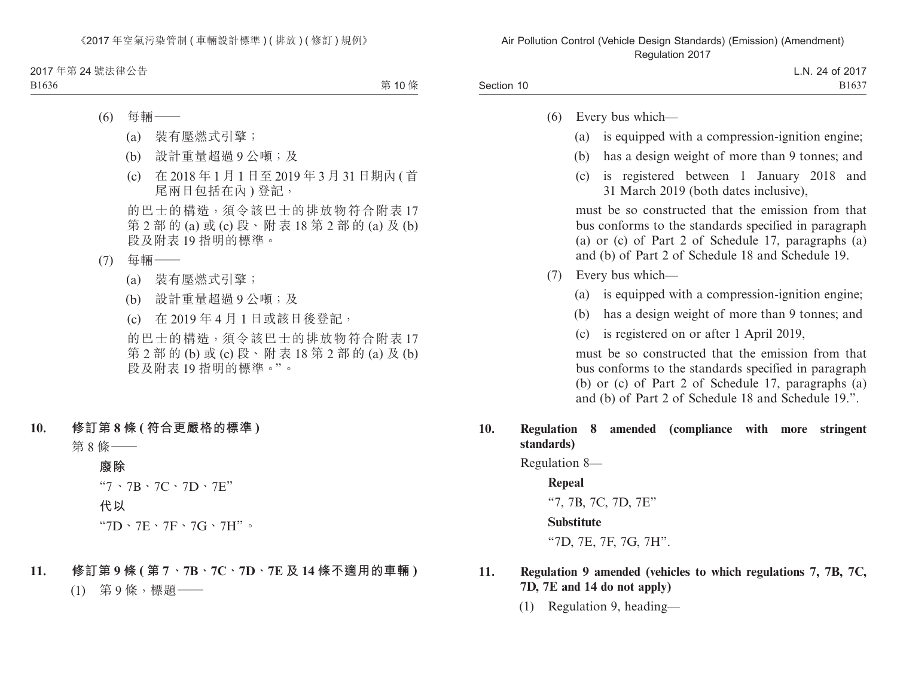第 10 條

- (6) 每輛——
	- (a) 裝有壓燃式引擎;
	- (b) 設計重量超過 9 公噸;及
	- (c) 在 2018 年 1 月 1 日至 2019 年 3 月 31 日期內 ( 首 尾兩日包括在內 ) 登記,

的巴士的構造,須令該巴士的排放物符合附表 17 第 2 部 的 (a) 或 (c) 段、附 表 18 第 2 部 的 (a) 及 (b) 段及附表 19 指明的標準。

- (7) 每輛——
	- (a) 裝有壓燃式引擎;
	- (b) 設計重量超過 9 公噸;及
	- (c) 在 2019 年 4 月 1 日或該日後登記,

的巴士的構造,須令該巴士的排放物符合附表 17 第 2 部 的 (b) 或 (c) 段、附 表 18 第 2 部 的 (a) 及 (b) 段及附表 19 指明的標準。"。

#### **10. 修訂第 8 條 ( 符合更嚴格的標準 )**

第 8 條——

#### **廢除**

"7、7B、7C、7D、7E"

#### **代以**

- $"7D \cdot 7E \cdot 7F \cdot 7G \cdot 7H"$
- **11. 修訂第 9 條 ( 第 7、7B、7C、7D、7E 及 14 條不適用的車輛 )**

(1) 第 9 條,標題——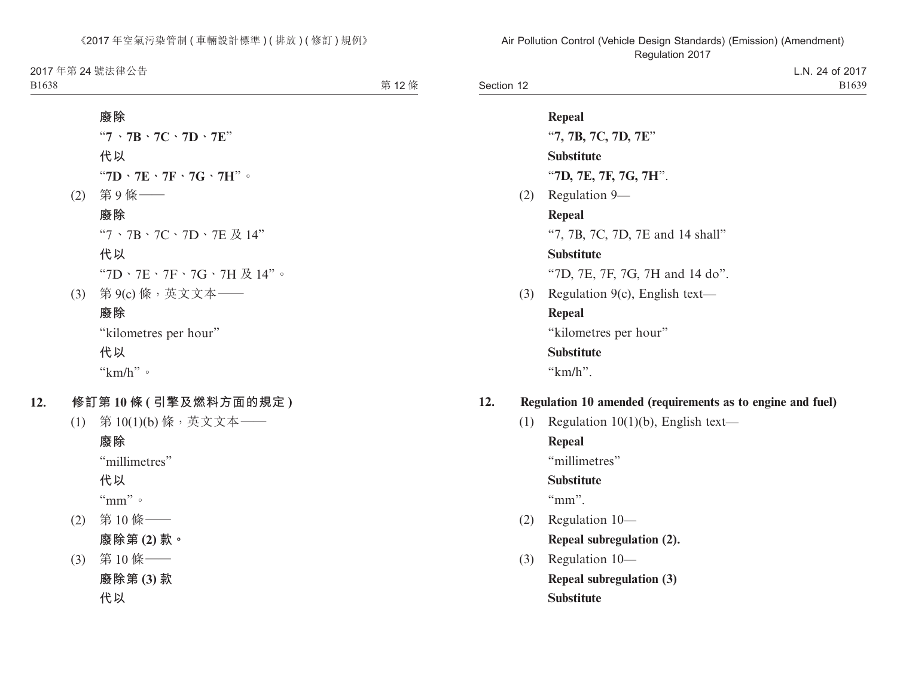2017 年第 24 號法律公告

B1638

第 12條

| 廢除                                                         |
|------------------------------------------------------------|
| $"7 \cdot 7B \cdot 7C \cdot 7D \cdot 7E"$                  |
| 代以                                                         |
| "7D $\cdot$ 7E $\cdot$ 7F $\cdot$ 7G $\cdot$ 7H" $\circ$   |
| (2) 第9條 —                                                  |
| 廢除                                                         |
| " $7 \cdot 7B \cdot 7C \cdot 7D \cdot 7E \nrightarrow$ 14" |
| 代以                                                         |
| "7D、7E、7F、7G、7H及14"。                                       |
| (3) 第 9(c) 條, 英文文本 ——                                      |
| 廢除                                                         |
| "kilometres per hour"                                      |
| 代以                                                         |
| " $km/h$ " $\circ$                                         |
|                                                            |

- **12. 修訂第 10 條 ( 引擎及燃料方面的規定 )**
	- (1) 第 10(1)(b) 條,英文文本——

**廢除** "millimetres" **代以** "mm"。 (2) 第 10 條—— **廢除第 (2) 款。** (3) 第 10 條—— **廢除第 (3) 款**

**代以**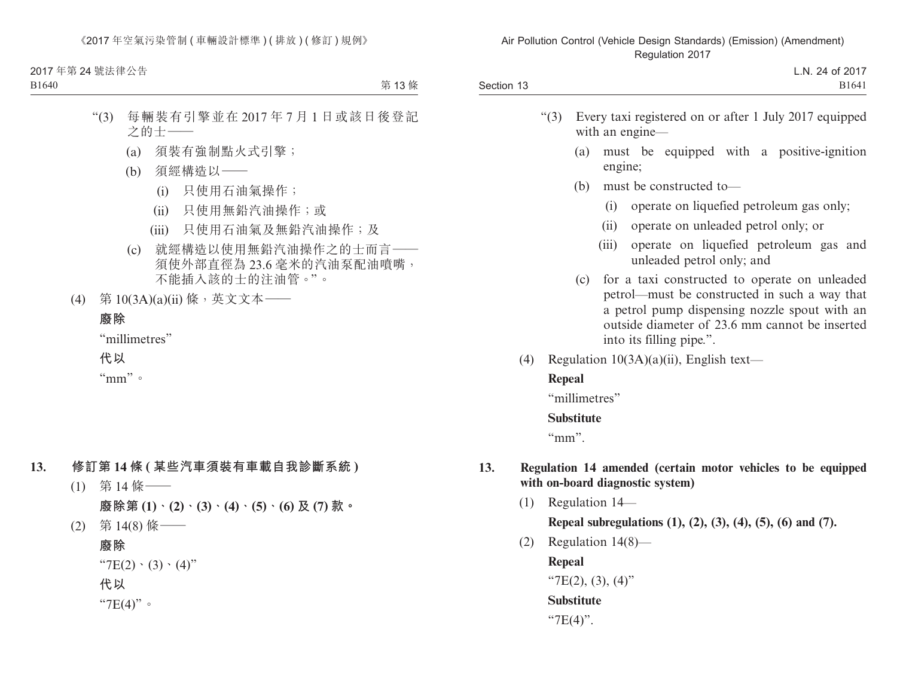2017 年第 24 號法律公告

B1640

第 13條

- "(3) 每輛裝有引擎並在 2017 年 7 月 1 日或該日後登記 之的士——
	- (a) 須裝有強制點火式引擎;
	- (b) 須經構造以——
		- (i) 只使用石油氣操作;
		- (ii) 只使用無鉛汽油操作;或
		- (iii) 只使用石油氣及無鉛汽油操作;及
	- (c) 就經構造以使用無鉛汽油操作之的士而言—— 須使外部直徑為 23.6 毫米的汽油泵配油噴嘴, 不能插入該的士的注油管。"。
- (4) 第 10(3A)(a)(ii) 條,英文文本——

#### **廢除**

"millimetres" **代以**

"mm"。

## **13. 修訂第 14 條 ( 某些汽車須裝有車載自我診斷系統 )**

- (1) 第 14 條—— **廢除第 (1)、(2)、(3)、(4)、(5)、(6) 及 (7) 款。**
- (2) 第 14(8) 條——

**廢除** " $7E(2) \cdot (3) \cdot (4)$ " **代以** "7E(4)"。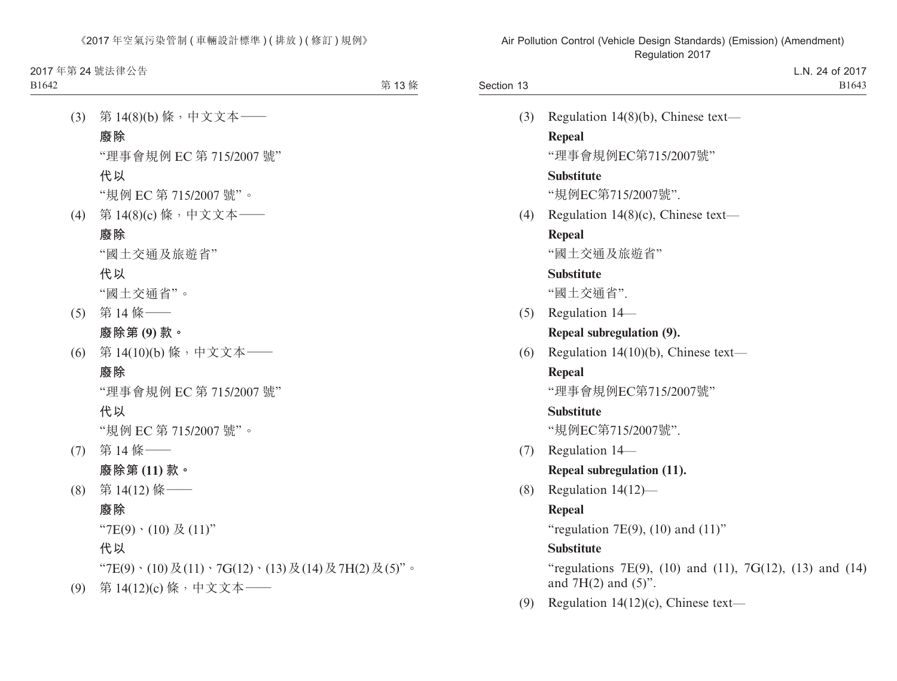第 13條

- (3) 第 14(8)(b) 條,中文文本—— **廢除** "理事會規例 EC 第 715/2007 號" **代以** "規例 EC 第 715/2007 號"。 (4) 第 14(8)(c) 條,中文文本—— **廢除** "國土交通及旅遊省" **代以** "國土交通省"。 (5) 第 14 條—— **廢除第 (9) 款。** (6) 第 14(10)(b) 條,中文文本—— **廢除** "理事會規例 EC 第 715/2007 號" **代以** "規例 EC 第 715/2007 號"。 (7) 第 14 條—— **廢除第 (11) 款。** (8) 第 14(12) 條—— **廢除**  $"7E(9) \cdot (10) \not\to (11)"$ **代以** "7E(9)、(10)及(11)、7G(12)、(13)及(14)及7H(2)及(5)"。
- (9) 第 14(12)(c) 條,中文文本——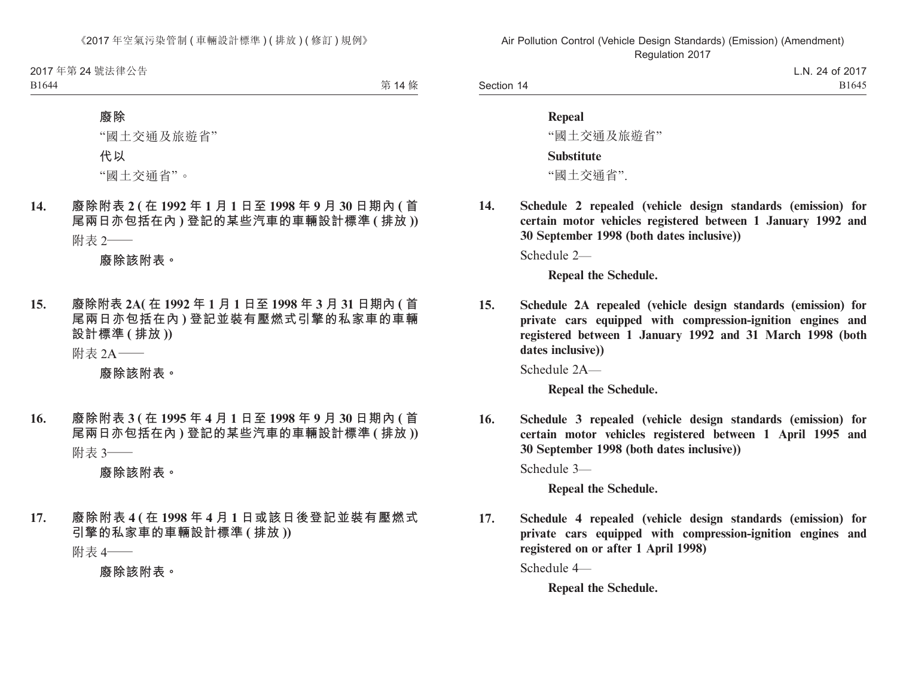2017 年第 24 號法律公告

B1644

第 14 條

#### **廢除**

"國土交通及旅遊省"

**代以**

"國土交通省"。

**14. 廢除附表 2 ( 在 1992 年 1 月 1 日至 1998 年 9 月 30 日期內 ( 首 尾兩日亦包括在內 ) 登記的某些汽車的車輛設計標準 ( 排放 ))** 附表 2——

**廢除該附表。**

**15. 廢除附表 2A( 在 1992 年 1 月 1 日至 1998 年 3 月 31 日期內 ( 首 尾兩日亦包括在內 ) 登記並裝有壓燃式引擎的私家車的車輛 設計標準 ( 排放 ))**

附表 2A——

**廢除該附表。**

**16. 廢除附表 3 ( 在 1995 年 4 月 1 日至 1998 年 9 月 30 日期內 ( 首 尾兩日亦包括在內 ) 登記的某些汽車的車輛設計標準 ( 排放 ))** 附表 3——

**廢除該附表。**

**17. 廢除附表 4 ( 在 1998 年 4 月 1 日或該日後登記並裝有壓燃式 引擎的私家車的車輛設計標準 ( 排放 ))**

附表 4——

**廢除該附表。**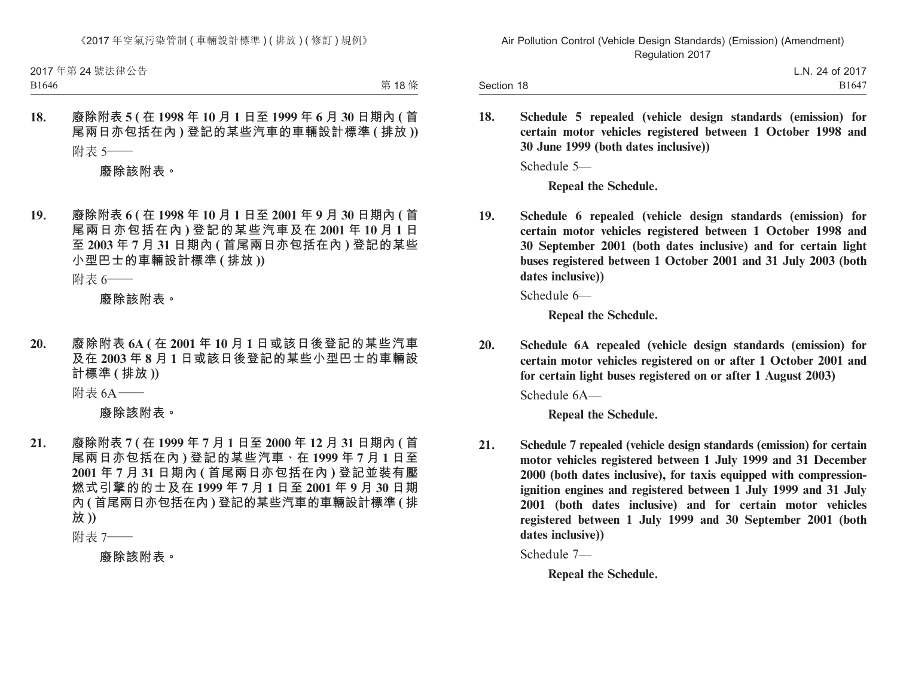2017 年第 24 號法律公告

B1646

第 18條

**18. 廢除附表 5 ( 在 1998 年 10 月 1 日至 1999 年 6 月 30 日期內 ( 首 尾兩日亦包括在內 ) 登記的某些汽車的車輛設計標準 ( 排放 ))** 附表 5——

**廢除該附表。**

**19. 廢除附表 6 ( 在 1998 年 10 月 1 日至 2001 年 9 月 30 日期內 ( 首 尾兩日亦包括在內 ) 登記的某些汽車及在 2001 年 10 月 1 日 至 2003 年 7 月 31 日期內 ( 首尾兩日亦包括在內 ) 登記的某些 小型巴士的車輛設計標準 ( 排放 ))**

附表 6——

**廢除該附表。**

**20. 廢除附表 6A ( 在 2001 年 10 月 1 日或該日後登記的某些汽車 及在 2003 年 8 月 1 日或該日後登記的某些小型巴士的車輛設 計標準 ( 排放 ))**

附表 6A——

**廢除該附表。**

**21. 廢除附表 7 ( 在 1999 年 7 月 1 日至 2000 年 12 月 31 日期內 ( 首 尾兩日亦包括在內 ) 登記的某些汽車、在 1999 年 7 月 1 日至 2001 年 7 月 31 日期內 ( 首尾兩日亦包括在內 ) 登記並裝有壓 燃式引擎的的士及在 1999 年 7 月 1 日至 2001 年 9 月 30 日期 內 ( 首尾兩日亦包括在內 ) 登記的某些汽車的車輛設計標準 ( 排 放 ))**

附表 7——

**廢除該附表。**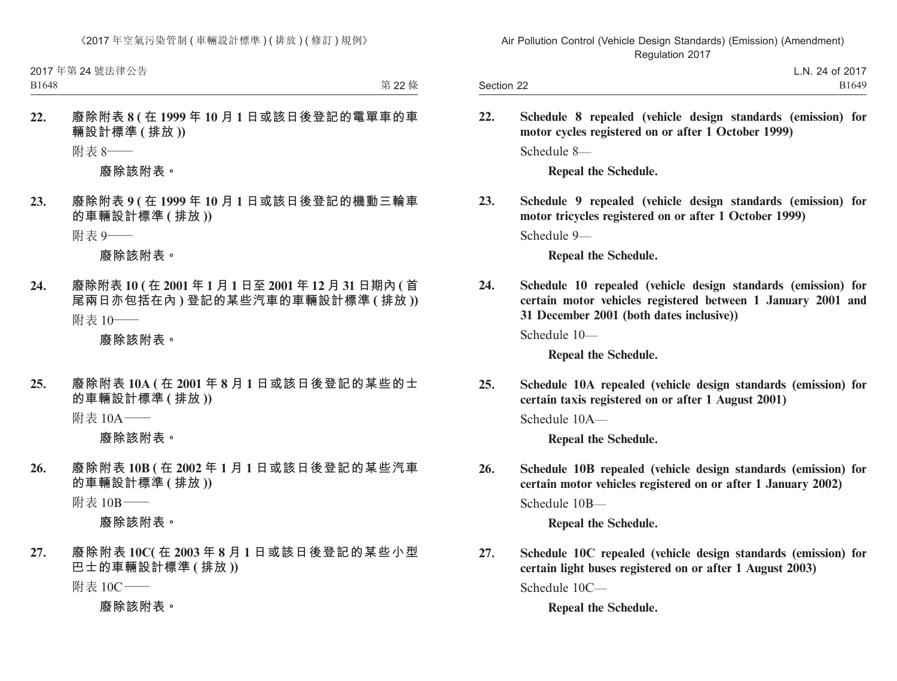2017 年第 24 號法律公告

B1648

第 22 條

**22. 廢除附表 8 ( 在 1999 年 10 月 1 日或該日後登記的電單車的車 輛設計標準 ( 排放 ))**

附表 8——

**廢除該附表。**

**23. 廢除附表 9 ( 在 1999 年 10 月 1 日或該日後登記的機動三輪車 的車輛設計標準 ( 排放 ))**

附表 9——

**廢除該附表。**

**24. 廢除附表 10 ( 在 2001 年 1 月 1 日至 2001 年 12 月 31 日期內 ( 首 尾兩日亦包括在內 ) 登記的某些汽車的車輛設計標準 ( 排放 ))** 附表 10——

**廢除該附表。**

**25. 廢除附表 10A ( 在 2001 年 8 月 1 日或該日後登記的某些的士 的車輛設計標準 ( 排放 ))**

附表 10A——

**廢除該附表。**

**26. 廢除附表 10B ( 在 2002 年 1 月 1 日或該日後登記的某些汽車 的車輛設計標準 ( 排放 ))**

附表 10B——

**廢除該附表。**

**27. 廢除附表 10C( 在 2003 年 8 月 1 日或該日後登記的某些小型 巴士的車輛設計標準 ( 排放 ))**

附表 10C——

**廢除該附表。**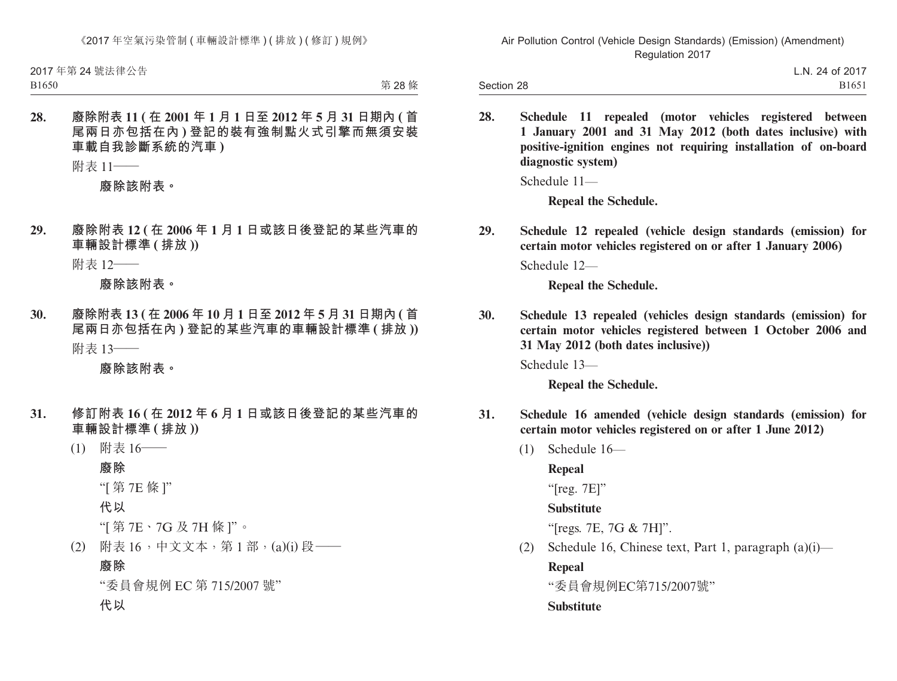B1650

第 28 條

**28. 廢除附表 11 ( 在 2001 年 1 月 1 日至 2012 年 5 月 31 日期內 ( 首 尾兩日亦包括在內 ) 登記的裝有強制點火式引擎而無須安裝 車載自我診斷系統的汽車 )**

附表 11——

**廢除該附表。**

**29. 廢除附表 12 ( 在 2006 年 1 月 1 日或該日後登記的某些汽車的 車輛設計標準 ( 排放 ))**

附表 12——

**廢除該附表。**

**30. 廢除附表 13 ( 在 2006 年 10 月 1 日至 2012 年 5 月 31 日期內 ( 首 尾兩日亦包括在內 ) 登記的某些汽車的車輛設計標準 ( 排放 ))** 附表 13——

**廢除該附表。**

- **31. 修訂附表 16 ( 在 2012 年 6 月 1 日或該日後登記的某些汽車的 車輛設計標準 ( 排放 ))**
	- (1) 附表 16——

**廢除**

"[ 第 7E 條 ]"

**代以**

"[ 第 7E、7G 及 7H 條 ]"。

(2) 附表 16,中文文本,第 1 部,(a)(i) 段——

#### **廢除**

"委員會規例 EC 第 715/2007 號"

**代以**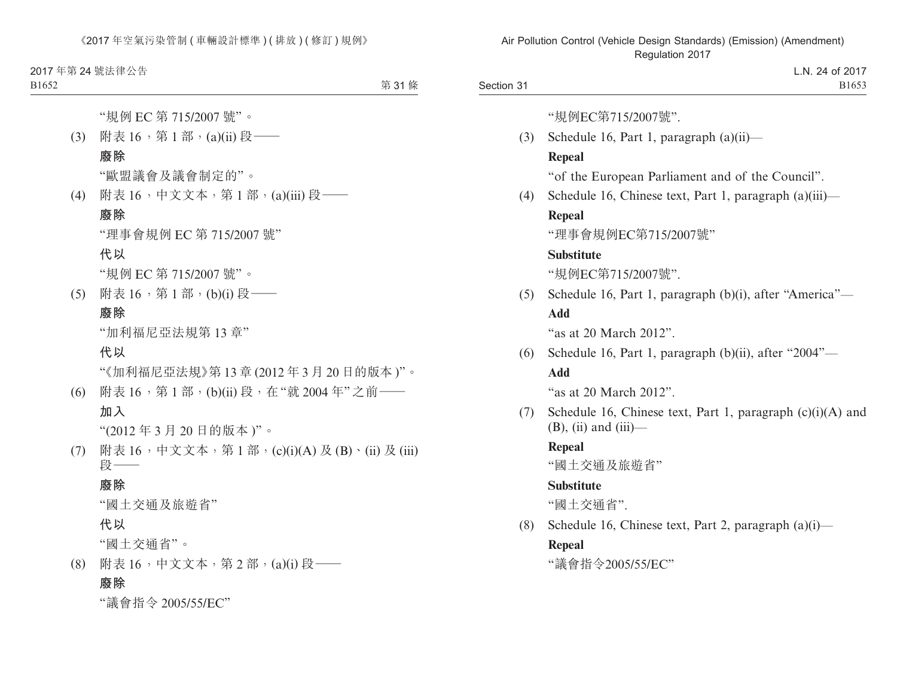2017 年第 24 號法律公告

B1652

第 31 條

"規例 EC 第 715/2007 號"。

(3) 附表 16,第1部,(a)(ii)段–– **廢除**

"歐盟議會及議會制定的"。

(4) 附表 16,中文文本,第 1 部,(a)(iii) 段—— **廢除**

"理事會規例 EC 第 715/2007 號"

## **代以**

"規例 EC 第 715/2007 號"。

(5) 附表 16,第 1 部,(b)(i) 段——

#### **廢除**

"加利福尼亞法規第 13 章"

## **代以**

"《加利福尼亞法規》第 13 章 (2012 年 3 月 20 日的版本 )"。

(6) 附表 16,第 1 部,(b)(ii) 段,在"就 2004 年"之前—— **加入**

"(2012 年 3 月 20 日的版本 )"。

(7) 附表 16,中文文本,第 1 部,(c)(i)(A) 及 (B)、(ii) 及 (iii) 段——

## **廢除**

"國土交通及旅遊省"

### **代以**

"國土交通省"。

(8) 附表 16,中文文本,第 2 部,(a)(i) 段——

## **廢除**

"議會指令 2005/55/EC"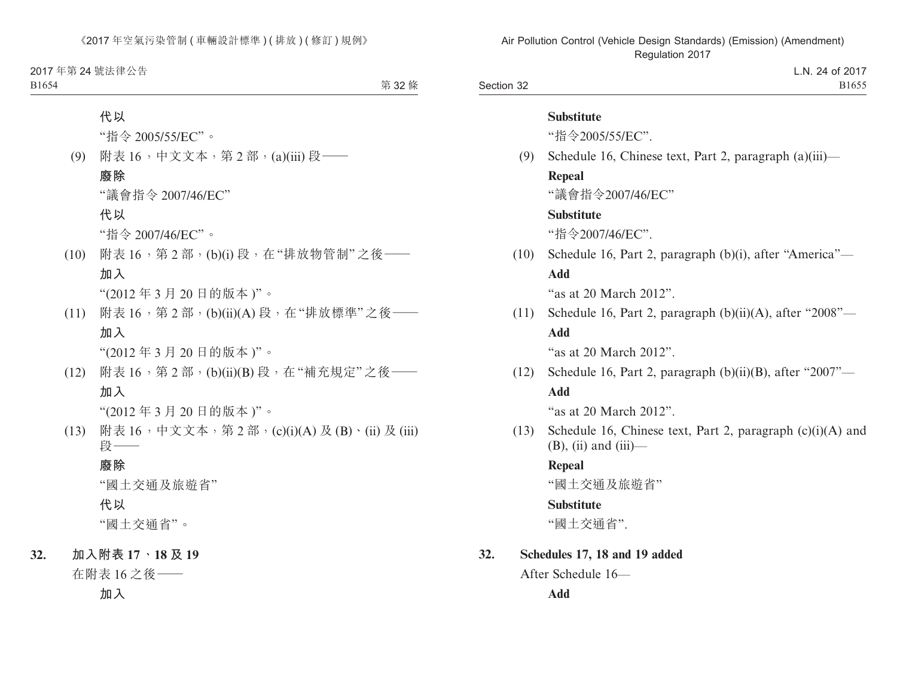2017 年第 24 號法律公告 B1654

第 32 條

**代以** "指令 2005/55/EC"。 (9) 附表 16,中文文本,第 2 部,(a)(iii) 段—— **廢除** "議會指令 2007/46/EC" **代以** "指令 2007/46/EC"。 (10) 附表 16,第 2 部,(b)(i) 段,在"排放物管制"之後—— **加入** "(2012 年 3 月 20 日的版本 )"。 (11) 附表 16,第 2 部,(b)(ii)(A) 段,在"排放標準"之後—— **加入** "(2012 年 3 月 20 日的版本 )"。

(12) 附表 16,第 2 部,(b)(ii)(B) 段,在"補充規定"之後—— **加入**

"(2012 年 3 月 20 日的版本 )"。

(13) 附表 16,中文文本,第 2 部,(c)(i)(A) 及 (B)、(ii) 及 (iii) 段——

## **廢除**

"國土交通及旅遊省"

**代以**

"國土交通省"。

**32. 加入附表 17、18 及 19**

在附表 16 之後——

**加入**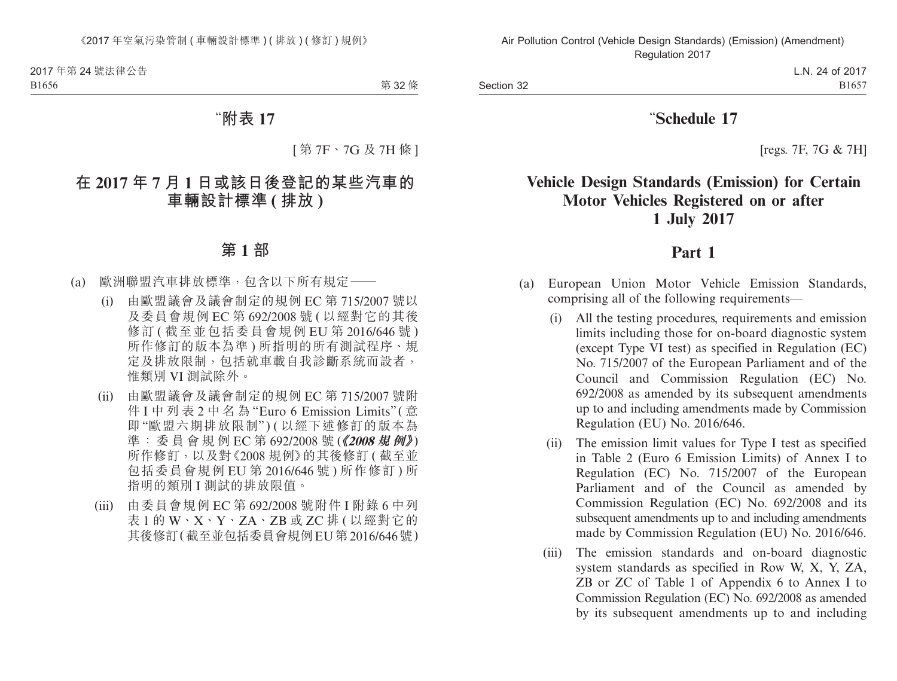第 32 條

# "**附表 17**

[ 第 7F、7G 及 7H 條 ]

# **在 2017 年 7 月 1 日或該日後登記的某些汽車的 車輛設計標準 ( 排放 )**

# **第 1 部**

- (a) 歐洲聯盟汽車排放標準,包含以下所有規定——
	- (i) 由歐盟議會及議會制定的規例 EC 第 715/2007 號以 及委員會規例 EC 第 692/2008 號 ( 以經對它的其後 修訂 ( 截至 並 句 括 委 員 會 規 例 EU 第 2016/646 號 ) 所作修訂的版本為進) 所指明的所有測試程序、規 定及排放限制,包括就車載自我診斷系統而設者, 惟類別 VI 測試除外。
	- (ii) 由歐盟議會及議會制定的規例 EC 第 715/2007 號附 件 I 中 列 表 2 中 名 為 "Euro 6 Emission Limits"(意 即 "歐盟六期排放限制" ) ( 以經下述修訂的版本為 準: 委員會規例 EC 第 692/2008 號 (《2008 規例》) 所作修訂,以及對《2008規例》的其後修訂(截至並 包括委員會規例 EU 第 2016/646 號 ) 所作修訂 ) 所 指明的類別 I 測試的排放限值。
	- (iii) 由委員會規例 EC 第 692/2008 號附件 I 附錄 6 中列 表 1 的 W、X、Y、ZA、ZB 或 ZC 排 ( 以經對它的 其後修訂(截至並包括委員會規例EU第2016/646號)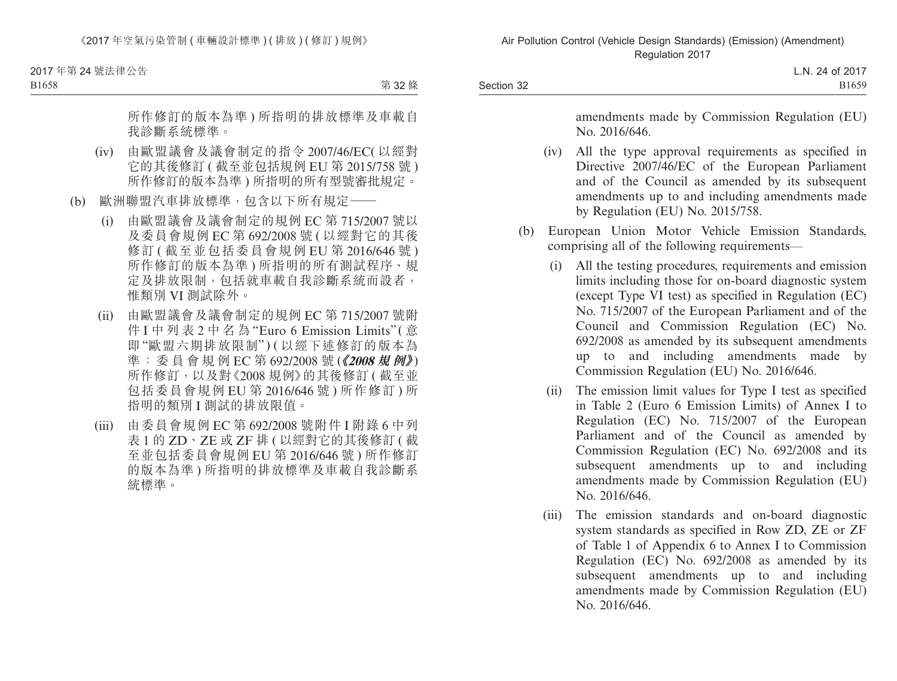2017 年第 24 號法律公告

B1658

第 32 條

 所作修訂的版本為準 ) 所指明的排放標準及車載自 我診斷系統標準。

- (iv) 由歐盟議會及議會制定的指令 2007/46/EC( 以經對 它的其後修訂 ( 截至並包括規例 EU 第 2015/758 號 ) 所作修訂的版本為準 ) 所指明的所有型號審批規定。
- (b) 歐洲聯盟汽車排放標準,包含以下所有規定——
	- (i) 由歐盟議會及議會制定的規例 EC 第 715/2007 號以 及委員會規例 EC 第 692/2008 號 ( 以經對它的其後 修訂 ( 截至並包括委員會規例 EU 第 2016/646 號 ) 所作修訂的版本為準 ) 所指明的所有測試程序、規 定及排放限制,包括就車載自我診斷系統而設者, 惟類別 VI 測試除外。
	- (ii) 由歐盟議會及議會制定的規例 EC 第 715/2007 號附 件 I 中 列 表 2 中 名 為 "Euro 6 Emission Limits" ( 意 即 "歐盟六期排放限制" ) ( 以經下述修訂的版本為 準: 委員會規例 EC 第 692/2008 號 (《2008 規例》) 所作修訂,以及對《2008規例》的其後修訂(截至並 包括委員會規例 EU 第 2016/646 號 ) 所作修訂 ) 所 指明的類別 I 測試的排放限值。
	- (iii) 由委員會規例 EC 第 692/2008 號附件 I 附錄 6 中列 表 1 的 ZD、ZE 或 ZF 排 ( 以經對它的其後修訂 ( 截 至並包括委員會規例 EU 第 2016/646 號 ) 所作修訂 的版本為準 ) 所指明的排放標準及車載自我診斷系 統標準。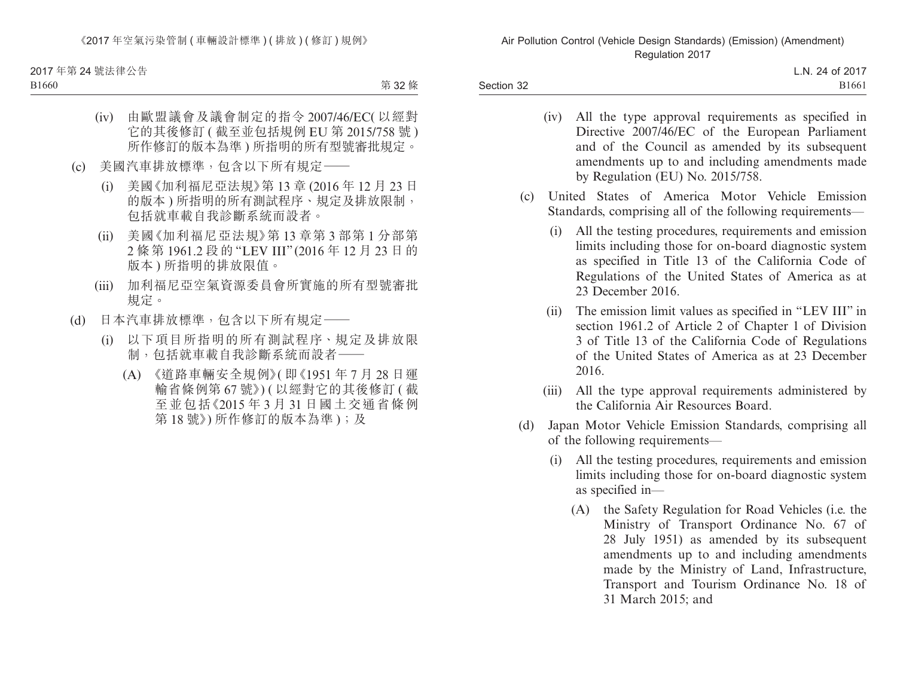2017 年第 24 號法律公告

B1660

第 32 條

- (iv) 由歐盟議會及議會制定的指令 2007/46/EC( 以經對 它的其後修訂 ( 截至並包括規例 EU 第 2015/758 號 ) 所作修訂的版本為準 ) 所指明的所有型號審批規定。
- (c) 美國汽車排放標準,包含以下所有規定——
	- (i) 美國《加利福尼亞法規》第 13 章 (2016 年 12 月 23 日 的版本 ) 所指明的所有測試程序、規定及排放限制, 包括就車載自我診斷系統而設者。
	- (ii) 美國《加利福尼亞法規》第 13 章第 3 部第 1 分部第 2 條第 1961.2 段的 "LEV III" (2016 年 12 月 23 日的 版本 ) 所指明的排放限值。
	- (iii) 加利福尼亞空氣資源委員會所實施的所有型號審批 規定。
- (d) 日本汽車排放標準,包含以下所有規定——
	- (i) 以下項目所指明的所有測試程序、規定及排放限 制,包括就車載自我診斷系統而設者——
		- (A) 《道路車輛安全規例》( 即《1951 年 7 月 28 日運 輸省條例第 67 號》) ( 以經對它的其後修訂 ( 截 至並包括《2015 年 3 月 31 日國土交通省條例 第18號》) 所作修訂的版本為準);及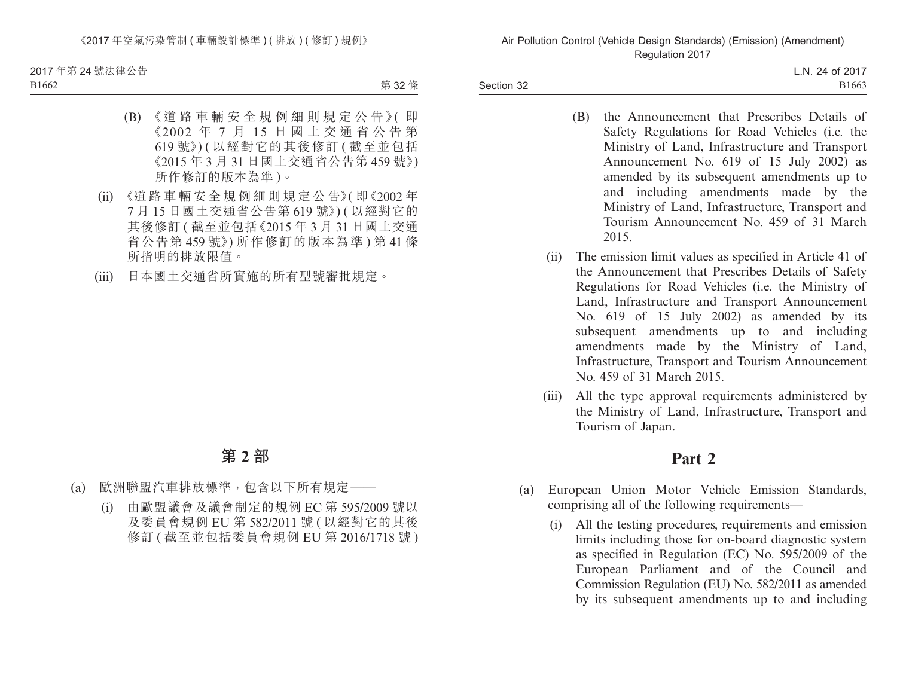2017 年第 24 號法律公告

B1662

第 32 條

- (B) 《道路車輛安全規例細則規定公告》( 即 《2002 年 7 月 15 日國土交通省公告第 619 號》) ( 以經對它的其後修訂 ( 截至並包括 《2015 年 3 月 31 日國土交通省公告第 459 號》) 所作修訂的版本為準 )。
- (ii) 《道 路 車 輛 安 全 規 例 細 則 規 定 公 告》( 即《2002 年 7 月 15 日國土交通省公告第 619 號》) ( 以經對它的 其後修訂 ( 截至並包括《2015 年 3 月 31 日國土交通 省公告第 459 號》) 所作修訂的版本為準 ) 第 41 條 所指明的排放限值。
- (iii) 日本國土交通省所實施的所有型號審批規定。

## **第 2 部**

- (a) 歐洲聯盟汽車排放標準,包含以下所有規定——
	- (i) 由歐盟議會及議會制定的規例 EC 第 595/2009 號以 及委員會規例 EU 第 582/2011 號 ( 以經對它的其後 修訂 ( 截至並包括委員會規例 EU 第 2016/1718 號 )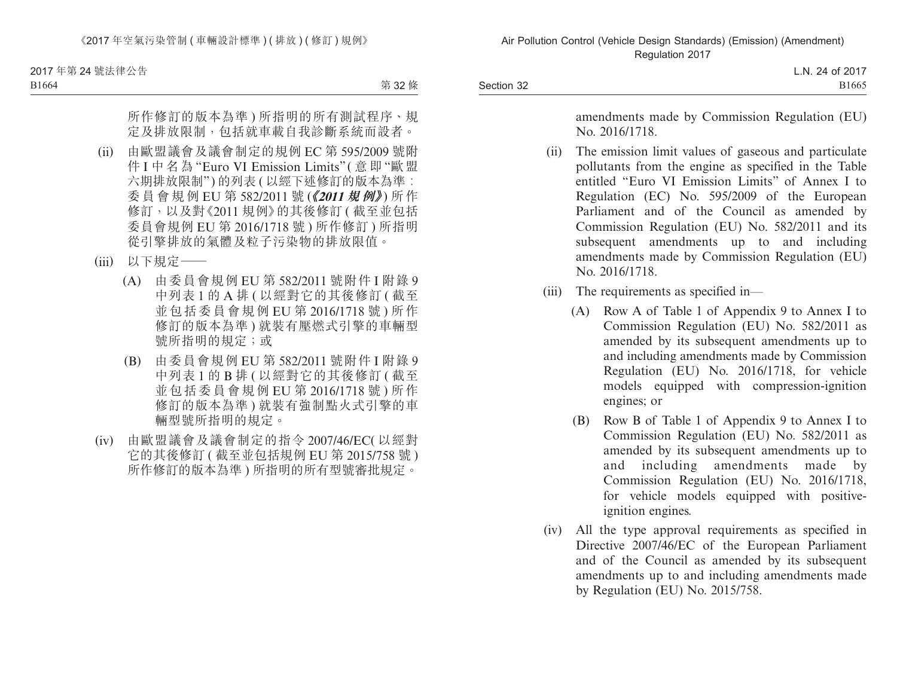2017 年第 24 號法律公告

B1664

第 32 條

 所作修訂的版本為準 ) 所指明的所有測試程序、規 定及排放限制,包括就車載自我診斷系統而設者。

- (ii) 由歐盟議會及議會制定的規例 EC 第 595/2009 號附 件 I 中 名 為 "Euro VI Emission Limits" ( 意 即 "歐 盟 六期排放限制")的列表 ( 以經下述修訂的版本為進: 委員會規例 EU 第 582/2011 號 (《2011 規例》) 所作 修訂,以及對《2011 規例》的其後修訂(截至並包括 委員會規例 EU 第 2016/1718 號 ) 所作修訂 ) 所指明 從引擎排放的氣體及粒子污染物的排放限值。
- (iii) 以下規定一
	- (A) 由委員會規例 EU 第 582/2011 號附件 I 附錄 9 中列表 1 的 A 排 ( 以經對它的其後修訂 ( 截至 並包括委員會規例 EU 第 2016/1718 號 ) 所作 修訂的版本為準) 就裝有壓燃式引擎的車輛型 號所指明的規定;或
	- (B) 由委員會規例 EU 第 582/2011 號附件 I 附錄 9 中列表 1 的 B 排 ( 以經對它的其後修訂 ( 截至 並包括委員會規例 EU 第 2016/1718 號 ) 所作 修訂的版本為準) 就裝有強制點火式引擎的車 輛型號所指明的規定。
- (iv) 由歐盟議會及議會制定的指令 2007/46/EC( 以經對 它的其後修訂 ( 截至並包括規例 EU 第 2015/758 號 ) 所作修訂的版本為準 ) 所指明的所有型號審批規定。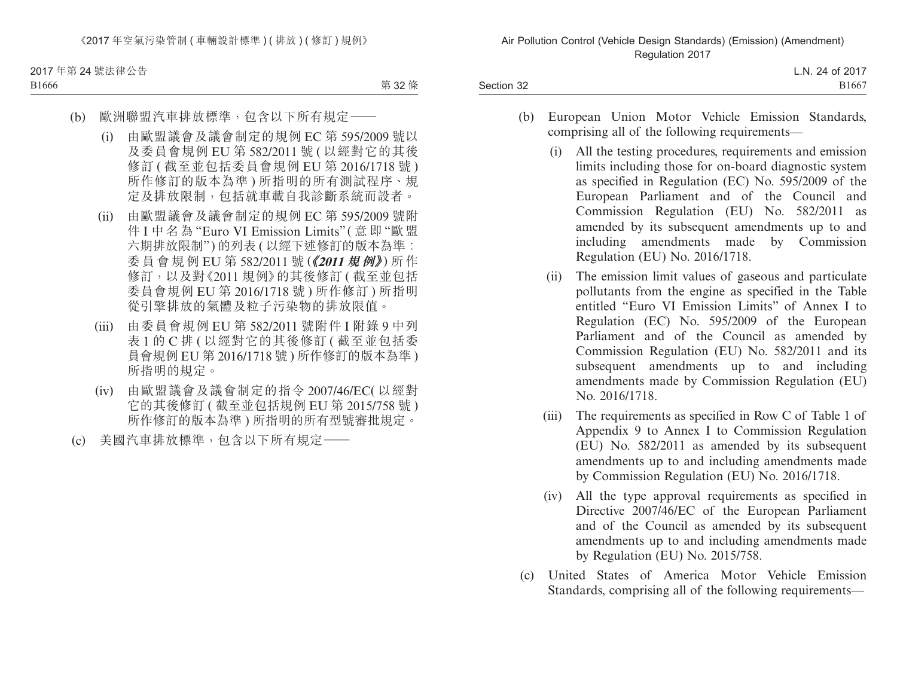2017 年第 24 號法律公告 B1666

第 32 條

- (b) 歐洲聯盟汽車排放標準,包含以下所有規定——
	- (i) 由歐盟議會及議會制定的規例 EC 第 595/2009 號以 及委員會規例 EU 第 582/2011 號 ( 以經對它的其後 修訂 ( 截至並包括委員會規例 EU 第 2016/1718 號 ) 所作修訂的版本為準 ) 所指明的所有測試程序、規 定及排放限制,包括就車載自我診斷系統而設者。
	- (ii) 由歐盟議會及議會制定的規例 EC 第 595/2009 號附 件 I 中 名 為 "Euro VI Emission Limits" ( 意 即 "歐 盟 六期排放限制")的列表 ( 以經下述修訂的版本為準: 委員會規例 EU 第 582/2011 號 (《2011 規例》) 所作 修訂,以及對《2011 規例》的其後修訂(截至並包括 委員會規例 EU 第 2016/1718 號 ) 所作修訂 ) 所指明 從引擎排放的氣體及粒子污染物的排放限值。
	- (iii) 由委員會規例 EU 第 582/2011 號附件 I 附錄 9 中列 表 1 的 C 排 ( 以經對它的其後修訂 ( 截至並包括委 員會規例 EU 第 2016/1718 號 ) 所作修訂的版本為準 ) 所指明的規定。
	- (iv) 由歐盟議會及議會制定的指令 2007/46/EC( 以經對 它的其後修訂 ( 截至並包括規例 EU 第 2015/758 號 ) 所作修訂的版本為準 ) 所指明的所有型號審批規定。
- (c) 美國汽車排放標準,包含以下所有規定——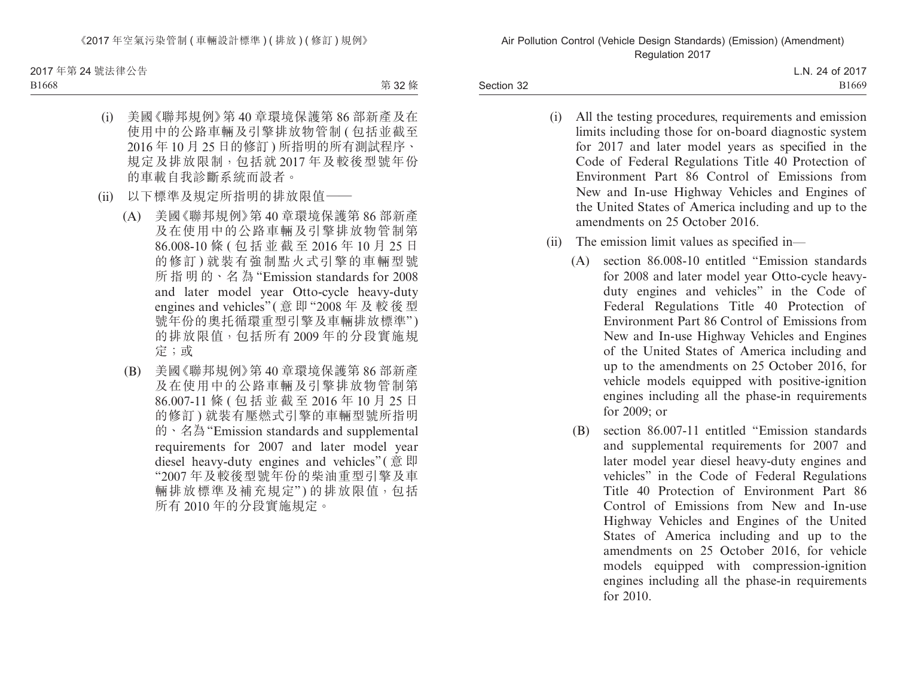2017 年第 24 號法律公告

B1668

第 32 條

- (i) 美國《聯邦規例》第 40 章環境保護第 86 部新產及在 使用中的公路車輛及引擎排放物管制 ( 包括並截至 2016 年 10 月 25 日的修訂 ) 所指明的所有測試程序、 規定及排放限制,包括就 2017 年及較後型號年份 的車載自我診斷系統而設者。
- (ii) 以下標準及規定所指明的排放限值——
	- (A) 美國《聯邦規例》第 40 章環境保護第 86 部新產 及在使用中的公路車輛及引擎排放物管制第 86.008-10 條 ( 包括並截至 2016 年 10 月 25 日 的修訂 ) 就裝有強制點火式引擎的車輛型號 所 指 明 的、名 為 "Emission standards for 2008 and later model year Otto-cycle heavy-duty engines and vehicles" ( 意 即 "2008 年 及 較 後 型 號年份的奧托循環重型引擎及車輛排放標準") 的排放限值,包括所有 2009 年的分段實施規 定;或
	- (B) 美國《聯邦規例》第 40 章環境保護第 86 部新產 及在使用中的公路車輛及引擎排放物管制第 86.007-11 條 ( 包括並截至 2016 年 10 月 25 日 的修訂 ) 就裝有壓燃式引擎的車輛型號所指明 的、名為"Emission standards and supplemental requirements for 2007 and later model year diesel heavy-duty engines and vehicles" (意即 "2007 年及較後型號年份的柴油重型引擎及車 輛排放標準及補充規定")的排放限值,包括 所有 2010 年的分段實施規定。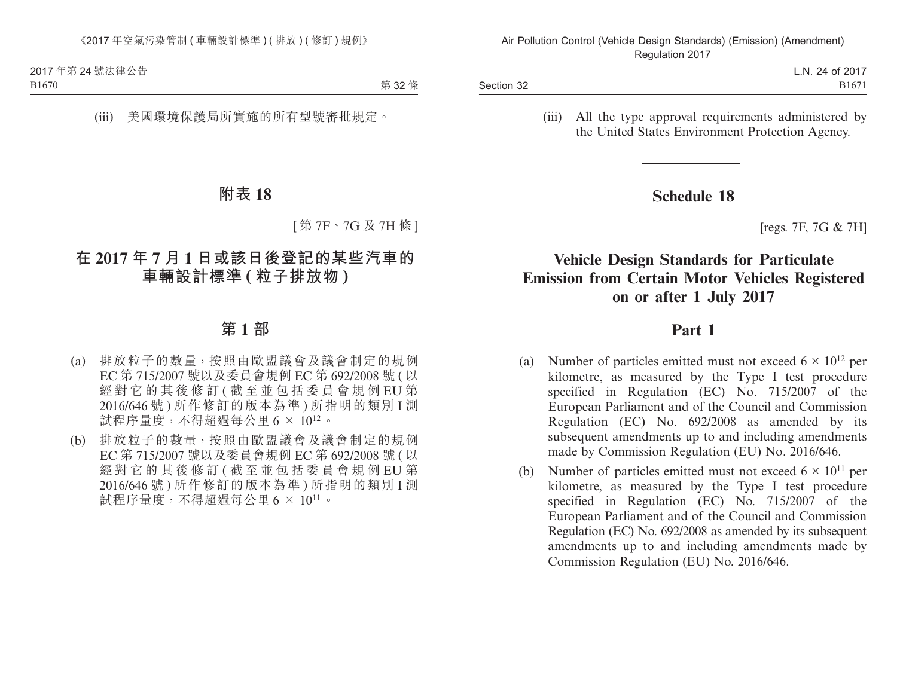第 32條

#### (iii) 美國環境保護局所實施的所有型號審批規定。

# **附表 18**

[ 第 7F、7G 及 7H 條 ]

# **在 2017 年 7 月 1 日或該日後登記的某些汽車的 車輛設計標準 ( 粒子排放物 )**

## **第 1 部**

- (a) 排放粒子的數量,按照由歐盟議會及議會制定的規例 EC 第 715/2007 號以及委員會規例 EC 第 692/2008 號 ( 以 經對它的其後修訂 ( 截至並包括委員會規例 EU 第 2016/646 號 ) 所作修訂的版本為準 ) 所指明的類別 I 測 試程序量度,不得超過每公里 6 × 1012。
- (b) 排放粒子的數量,按照由歐盟議會及議會制定的規例 EC 第 715/2007 號以及委員會規例 EC 第 692/2008 號 ( 以 經對它的其後修訂 ( 截至並包括委員會規例 EU 第 2016/646 號 ) 所作修訂的版本為準 ) 所指明的類別 I 測 試程序量度,不得超過每公里 6 × 1011。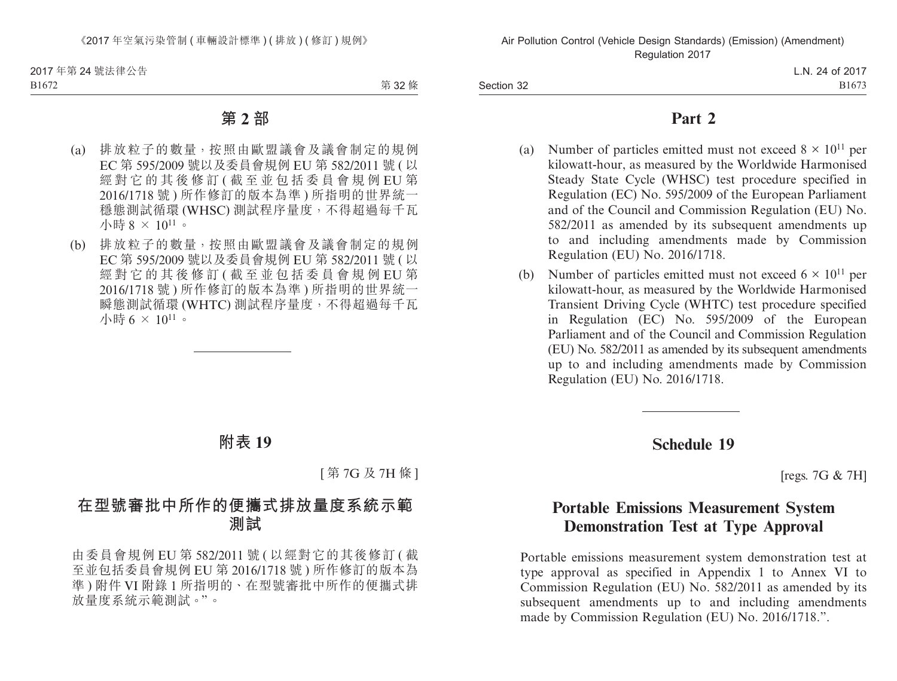第 32 條

# **第 2 部**

- (a) 排放粒子的數量,按照由歐盟議會及議會制定的規例 EC 第 595/2009 號以及委員會規例 EU 第 582/2011 號 ( 以 經對它的其後修訂 ( 截至並包括委員會規例 EU 第 2016/1718 號 ) 所作修訂的版本為準 ) 所指明的世界統一 穩態測試循環 (WHSC) 測試程序量度,不得超過每千瓦 小時 8 × 1011。
- (b) 排放粒子的數量,按照由歐盟議會及議會制定的規例 EC 第 595/2009 號以及委員會規例 EU 第 582/2011 號 ( 以 經對它的其後修訂 ( 截至並包括委員會規例 EU 第 2016/1718 號 ) 所作修訂的版本為準 ) 所指明的世界統一 瞬態測試循環 (WHTC) 測試程序量度,不得超過每千瓦 小時 6 × 1011。

# **附表 19**

[ 第 7G 及 7H 條 ]

# **在型號審批中所作的便攜式排放量度系統示範 測試**

由委員會規例 EU 第 582/2011 號 ( 以經對它的其後修訂 ( 截 至並包括委員會規例 EU 第 2016/1718 號 ) 所作修訂的版本為 準 ) 附件 VI 附錄 1 所指明的、在型號審批中所作的便攜式排 放量度系統示範測試。"。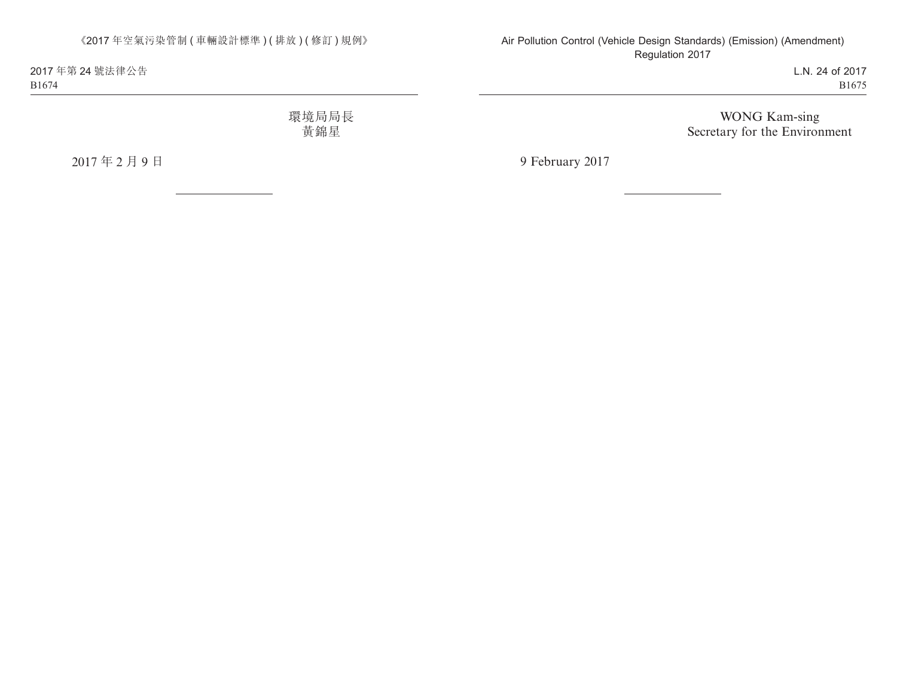2017 年第 24 號法律公告 B1674

> 環境局局長 黃錦星

2017 年 2 月 9 日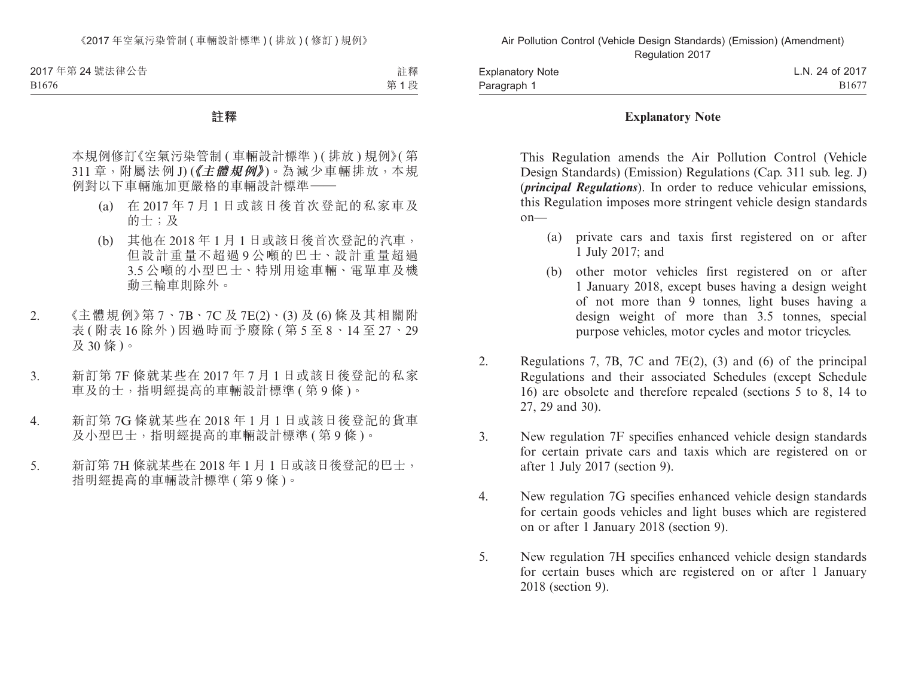B1676

註釋 第 1 段

#### **註釋**

本規例修訂《空氣污染管制 ( 車輛設計標準 ) ( 排放 ) 規例》( 第 311 章, 附屬法例 I) (《主體規例》)。為減少車輛排放,本規 例對以下車輛施加更嚴格的車輛設計標準——

- (a) 在 2017 年 7 月 1 日或該日後首次登記的私家車及 的士;及
- (b) 其他在 2018 年 1 月 1 日或該日後首次登記的汽車, 但設計重量不超過 9 公噸的巴士、設計重量超過 3.5 公噸的小型巴士、特別用途車輛、電單車及機 動三輪車則除外。
- 2. 《主體規例》第 7、7B、7C 及 7E(2)、(3) 及 (6) 條及其相關附 表 ( 附表 16 除外 ) 因過時而予廢除 ( 第 5 至 8、14 至 27、29 及 30 條 )。
- 3. 新訂第 7F 條就某些在 2017 年 7 月 1 日或該日後登記的私家 車及的士,指明經提高的車輛設計標準 ( 第 9 條 )。
- 4. 新訂第 7G 條就某些在 2018 年 1 月 1 日或該日後登記的貨車 及小型巴士,指明經提高的車輛設計標準 ( 第 9 條 )。
- 5. 新訂第 7H 條就某些在 2018 年 1 月 1 日或該日後登記的巴士, 指明經提高的車輛設計標準 ( 第 9 條 )。